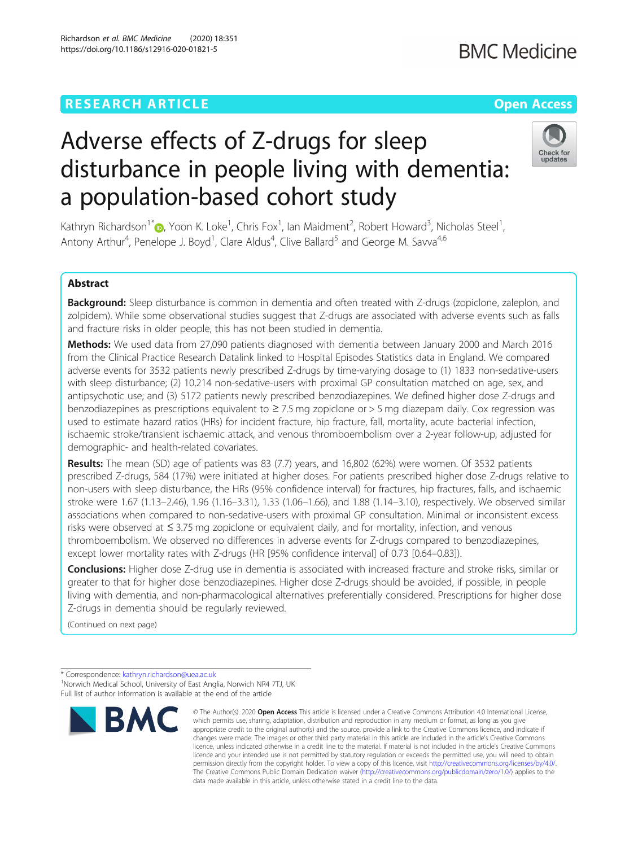## **RESEARCH ARTICLE Example 2014 12:30 The Company Access Open Access**

# Adverse effects of Z-drugs for sleep disturbance in people living with dementia: a population-based cohort study

Kathryn Richardson<sup>1</sup>\*®[,](http://orcid.org/0000-0002-0741-8413) Yoon K. Loke<sup>1</sup>, Chris Fox<sup>1</sup>, Ian Maidment<sup>2</sup>, Robert Howard<sup>3</sup>, Nicholas Steel<sup>1</sup> , Antony Arthur<sup>4</sup>, Penelope J. Boyd<sup>1</sup>, Clare Aldus<sup>4</sup>, Clive Ballard<sup>5</sup> and George M. Savva<sup>4,6</sup>

### Abstract

Background: Sleep disturbance is common in dementia and often treated with Z-drugs (zopiclone, zaleplon, and zolpidem). While some observational studies suggest that Z-drugs are associated with adverse events such as falls and fracture risks in older people, this has not been studied in dementia.

Methods: We used data from 27,090 patients diagnosed with dementia between January 2000 and March 2016 from the Clinical Practice Research Datalink linked to Hospital Episodes Statistics data in England. We compared adverse events for 3532 patients newly prescribed Z-drugs by time-varying dosage to (1) 1833 non-sedative-users with sleep disturbance; (2) 10,214 non-sedative-users with proximal GP consultation matched on age, sex, and antipsychotic use; and (3) 5172 patients newly prescribed benzodiazepines. We defined higher dose Z-drugs and benzodiazepines as prescriptions equivalent to ≥ 7.5 mg zopiclone or > 5 mg diazepam daily. Cox regression was used to estimate hazard ratios (HRs) for incident fracture, hip fracture, fall, mortality, acute bacterial infection, ischaemic stroke/transient ischaemic attack, and venous thromboembolism over a 2-year follow-up, adjusted for demographic- and health-related covariates.

Results: The mean (SD) age of patients was 83 (7.7) years, and 16,802 (62%) were women. Of 3532 patients prescribed Z-drugs, 584 (17%) were initiated at higher doses. For patients prescribed higher dose Z-drugs relative to non-users with sleep disturbance, the HRs (95% confidence interval) for fractures, hip fractures, falls, and ischaemic stroke were 1.67 (1.13–2.46), 1.96 (1.16–3.31), 1.33 (1.06–1.66), and 1.88 (1.14–3.10), respectively. We observed similar associations when compared to non-sedative-users with proximal GP consultation. Minimal or inconsistent excess risks were observed at ≤ 3.75 mg zopiclone or equivalent daily, and for mortality, infection, and venous thromboembolism. We observed no differences in adverse events for Z-drugs compared to benzodiazepines, except lower mortality rates with Z-drugs (HR [95% confidence interval] of 0.73 [0.64–0.83]).

**Conclusions:** Higher dose Z-drug use in dementia is associated with increased fracture and stroke risks, similar or greater to that for higher dose benzodiazepines. Higher dose Z-drugs should be avoided, if possible, in people living with dementia, and non-pharmacological alternatives preferentially considered. Prescriptions for higher dose Z-drugs in dementia should be regularly reviewed.

(Continued on next page)

**BMC** 

© The Author(s), 2020 **Open Access** This article is licensed under a Creative Commons Attribution 4.0 International License,





<sup>\*</sup> Correspondence: [kathryn.richardson@uea.ac.uk](mailto:kathryn.richardson@uea.ac.uk) <sup>1</sup> <sup>1</sup>Norwich Medical School, University of East Anglia, Norwich NR4 7TJ, UK Full list of author information is available at the end of the article

which permits use, sharing, adaptation, distribution and reproduction in any medium or format, as long as you give appropriate credit to the original author(s) and the source, provide a link to the Creative Commons licence, and indicate if changes were made. The images or other third party material in this article are included in the article's Creative Commons licence, unless indicated otherwise in a credit line to the material. If material is not included in the article's Creative Commons licence and your intended use is not permitted by statutory regulation or exceeds the permitted use, you will need to obtain permission directly from the copyright holder. To view a copy of this licence, visit [http://creativecommons.org/licenses/by/4.0/.](http://creativecommons.org/licenses/by/4.0/) The Creative Commons Public Domain Dedication waiver [\(http://creativecommons.org/publicdomain/zero/1.0/](http://creativecommons.org/publicdomain/zero/1.0/)) applies to the data made available in this article, unless otherwise stated in a credit line to the data.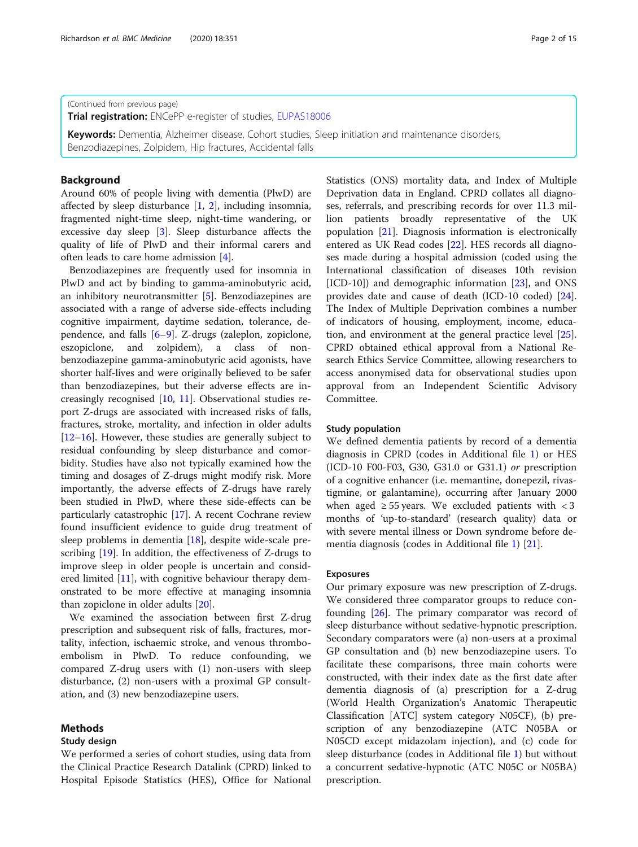#### (Continued from previous page)

Trial registration: ENCePP e-register of studies, [EUPAS18006](http://www.encepp.eu/encepp/viewResource.htm?id=18007)

Keywords: Dementia, Alzheimer disease, Cohort studies, Sleep initiation and maintenance disorders, Benzodiazepines, Zolpidem, Hip fractures, Accidental falls

#### Background

Around 60% of people living with dementia (PlwD) are affected by sleep disturbance [\[1](#page-12-0), [2\]](#page-12-0), including insomnia, fragmented night-time sleep, night-time wandering, or excessive day sleep [[3\]](#page-12-0). Sleep disturbance affects the quality of life of PlwD and their informal carers and often leads to care home admission [[4\]](#page-12-0).

Benzodiazepines are frequently used for insomnia in PlwD and act by binding to gamma-aminobutyric acid, an inhibitory neurotransmitter [[5\]](#page-12-0). Benzodiazepines are associated with a range of adverse side-effects including cognitive impairment, daytime sedation, tolerance, dependence, and falls [\[6](#page-12-0)–[9](#page-12-0)]. Z-drugs (zaleplon, zopiclone, eszopiclone, and zolpidem), a class of nonbenzodiazepine gamma-aminobutyric acid agonists, have shorter half-lives and were originally believed to be safer than benzodiazepines, but their adverse effects are increasingly recognised [\[10](#page-13-0), [11](#page-13-0)]. Observational studies report Z-drugs are associated with increased risks of falls, fractures, stroke, mortality, and infection in older adults [[12](#page-13-0)–[16](#page-13-0)]. However, these studies are generally subject to residual confounding by sleep disturbance and comorbidity. Studies have also not typically examined how the timing and dosages of Z-drugs might modify risk. More importantly, the adverse effects of Z-drugs have rarely been studied in PlwD, where these side-effects can be particularly catastrophic [[17\]](#page-13-0). A recent Cochrane review found insufficient evidence to guide drug treatment of sleep problems in dementia [[18](#page-13-0)], despite wide-scale prescribing [\[19](#page-13-0)]. In addition, the effectiveness of Z-drugs to improve sleep in older people is uncertain and considered limited [[11](#page-13-0)], with cognitive behaviour therapy demonstrated to be more effective at managing insomnia than zopiclone in older adults [\[20](#page-13-0)].

We examined the association between first Z-drug prescription and subsequent risk of falls, fractures, mortality, infection, ischaemic stroke, and venous thromboembolism in PlwD. To reduce confounding, we compared Z-drug users with (1) non-users with sleep disturbance, (2) non-users with a proximal GP consultation, and (3) new benzodiazepine users.

#### Methods

#### Study design

We performed a series of cohort studies, using data from the Clinical Practice Research Datalink (CPRD) linked to Hospital Episode Statistics (HES), Office for National Statistics (ONS) mortality data, and Index of Multiple Deprivation data in England. CPRD collates all diagnoses, referrals, and prescribing records for over 11.3 million patients broadly representative of the UK population [[21](#page-13-0)]. Diagnosis information is electronically entered as UK Read codes [[22\]](#page-13-0). HES records all diagnoses made during a hospital admission (coded using the International classification of diseases 10th revision [ICD-10]) and demographic information [\[23](#page-13-0)], and ONS provides date and cause of death (ICD-10 coded) [\[24](#page-13-0)]. The Index of Multiple Deprivation combines a number of indicators of housing, employment, income, education, and environment at the general practice level [\[25](#page-13-0)]. CPRD obtained ethical approval from a National Research Ethics Service Committee, allowing researchers to access anonymised data for observational studies upon approval from an Independent Scientific Advisory Committee.

#### Study population

We defined dementia patients by record of a dementia diagnosis in CPRD (codes in Additional file [1\)](#page-12-0) or HES (ICD-10 F00-F03, G30, G31.0 or G31.1) or prescription of a cognitive enhancer (i.e. memantine, donepezil, rivastigmine, or galantamine), occurring after January 2000 when aged  $\geq$  55 years. We excluded patients with < 3 months of 'up-to-standard' (research quality) data or with severe mental illness or Down syndrome before dementia diagnosis (codes in Additional file [1\)](#page-12-0) [[21\]](#page-13-0).

#### Exposures

Our primary exposure was new prescription of Z-drugs. We considered three comparator groups to reduce confounding [\[26](#page-13-0)]. The primary comparator was record of sleep disturbance without sedative-hypnotic prescription. Secondary comparators were (a) non-users at a proximal GP consultation and (b) new benzodiazepine users. To facilitate these comparisons, three main cohorts were constructed, with their index date as the first date after dementia diagnosis of (a) prescription for a Z-drug (World Health Organization's Anatomic Therapeutic Classification [ATC] system category N05CF), (b) prescription of any benzodiazepine (ATC N05BA or N05CD except midazolam injection), and (c) code for sleep disturbance (codes in Additional file [1](#page-12-0)) but without a concurrent sedative-hypnotic (ATC N05C or N05BA) prescription.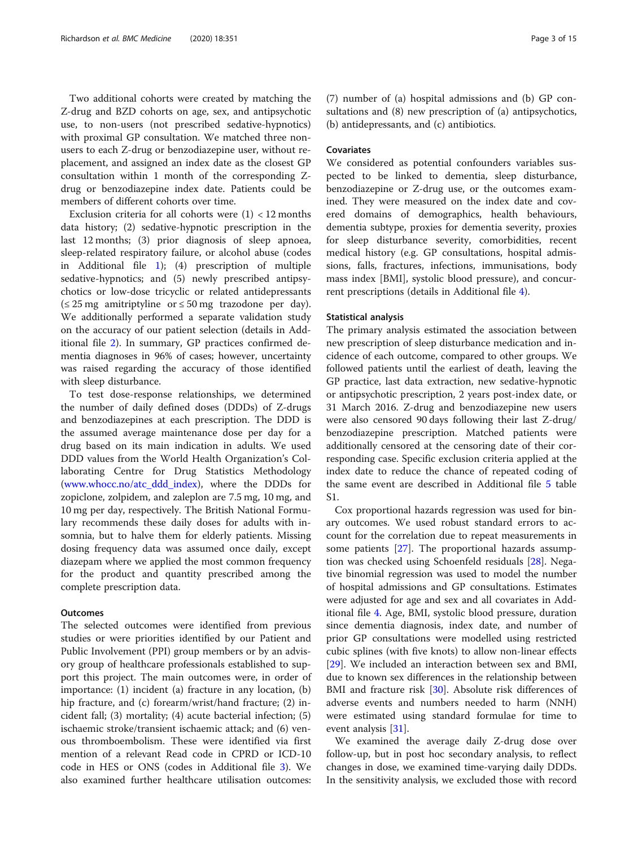Two additional cohorts were created by matching the Z-drug and BZD cohorts on age, sex, and antipsychotic use, to non-users (not prescribed sedative-hypnotics) with proximal GP consultation. We matched three nonusers to each Z-drug or benzodiazepine user, without replacement, and assigned an index date as the closest GP consultation within 1 month of the corresponding Zdrug or benzodiazepine index date. Patients could be members of different cohorts over time.

Exclusion criteria for all cohorts were  $(1)$  < 12 months data history; (2) sedative-hypnotic prescription in the last 12 months; (3) prior diagnosis of sleep apnoea, sleep-related respiratory failure, or alcohol abuse (codes in Additional file [1\)](#page-12-0); (4) prescription of multiple sedative-hypnotics; and (5) newly prescribed antipsychotics or low-dose tricyclic or related antidepressants  $(\leq 25 \text{ mg}$  amitriptyline or  $\leq 50 \text{ mg}$  trazodone per day). We additionally performed a separate validation study on the accuracy of our patient selection (details in Additional file [2](#page-12-0)). In summary, GP practices confirmed dementia diagnoses in 96% of cases; however, uncertainty was raised regarding the accuracy of those identified with sleep disturbance.

To test dose-response relationships, we determined the number of daily defined doses (DDDs) of Z-drugs and benzodiazepines at each prescription. The DDD is the assumed average maintenance dose per day for a drug based on its main indication in adults. We used DDD values from the World Health Organization's Collaborating Centre for Drug Statistics Methodology ([www.whocc.no/atc\\_ddd\\_index](http://www.whocc.no/atc_ddd_index)), where the DDDs for zopiclone, zolpidem, and zaleplon are 7.5 mg, 10 mg, and 10 mg per day, respectively. The British National Formulary recommends these daily doses for adults with insomnia, but to halve them for elderly patients. Missing dosing frequency data was assumed once daily, except diazepam where we applied the most common frequency for the product and quantity prescribed among the complete prescription data.

#### **Outcomes**

The selected outcomes were identified from previous studies or were priorities identified by our Patient and Public Involvement (PPI) group members or by an advisory group of healthcare professionals established to support this project. The main outcomes were, in order of importance: (1) incident (a) fracture in any location, (b) hip fracture, and (c) forearm/wrist/hand fracture; (2) incident fall; (3) mortality; (4) acute bacterial infection; (5) ischaemic stroke/transient ischaemic attack; and (6) venous thromboembolism. These were identified via first mention of a relevant Read code in CPRD or ICD-10 code in HES or ONS (codes in Additional file [3](#page-12-0)). We also examined further healthcare utilisation outcomes:

(7) number of (a) hospital admissions and (b) GP consultations and (8) new prescription of (a) antipsychotics, (b) antidepressants, and (c) antibiotics.

#### Covariates

We considered as potential confounders variables suspected to be linked to dementia, sleep disturbance, benzodiazepine or Z-drug use, or the outcomes examined. They were measured on the index date and covered domains of demographics, health behaviours, dementia subtype, proxies for dementia severity, proxies for sleep disturbance severity, comorbidities, recent medical history (e.g. GP consultations, hospital admissions, falls, fractures, infections, immunisations, body mass index [BMI], systolic blood pressure), and concurrent prescriptions (details in Additional file [4\)](#page-12-0).

#### Statistical analysis

The primary analysis estimated the association between new prescription of sleep disturbance medication and incidence of each outcome, compared to other groups. We followed patients until the earliest of death, leaving the GP practice, last data extraction, new sedative-hypnotic or antipsychotic prescription, 2 years post-index date, or 31 March 2016. Z-drug and benzodiazepine new users were also censored 90 days following their last Z-drug/ benzodiazepine prescription. Matched patients were additionally censored at the censoring date of their corresponding case. Specific exclusion criteria applied at the index date to reduce the chance of repeated coding of the same event are described in Additional file [5](#page-12-0) table S1.

Cox proportional hazards regression was used for binary outcomes. We used robust standard errors to account for the correlation due to repeat measurements in some patients [\[27](#page-13-0)]. The proportional hazards assumption was checked using Schoenfeld residuals [\[28](#page-13-0)]. Negative binomial regression was used to model the number of hospital admissions and GP consultations. Estimates were adjusted for age and sex and all covariates in Additional file [4](#page-12-0). Age, BMI, systolic blood pressure, duration since dementia diagnosis, index date, and number of prior GP consultations were modelled using restricted cubic splines (with five knots) to allow non-linear effects [[29\]](#page-13-0). We included an interaction between sex and BMI, due to known sex differences in the relationship between BMI and fracture risk [\[30\]](#page-13-0). Absolute risk differences of adverse events and numbers needed to harm (NNH) were estimated using standard formulae for time to event analysis [[31\]](#page-13-0).

We examined the average daily Z-drug dose over follow-up, but in post hoc secondary analysis, to reflect changes in dose, we examined time-varying daily DDDs. In the sensitivity analysis, we excluded those with record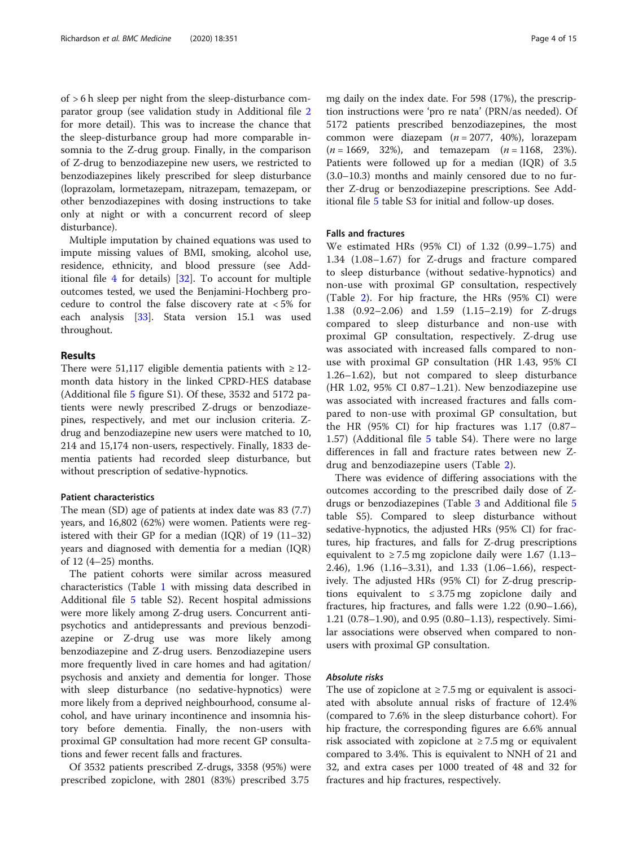of > 6 h sleep per night from the sleep-disturbance comparator group (see validation study in Additional file [2](#page-12-0) for more detail). This was to increase the chance that the sleep-disturbance group had more comparable insomnia to the Z-drug group. Finally, in the comparison of Z-drug to benzodiazepine new users, we restricted to benzodiazepines likely prescribed for sleep disturbance (loprazolam, lormetazepam, nitrazepam, temazepam, or other benzodiazepines with dosing instructions to take only at night or with a concurrent record of sleep disturbance).

Multiple imputation by chained equations was used to impute missing values of BMI, smoking, alcohol use, residence, ethnicity, and blood pressure (see Additional file  $4$  for details) [\[32](#page-13-0)]. To account for multiple outcomes tested, we used the Benjamini-Hochberg procedure to control the false discovery rate at < 5% for each analysis [\[33](#page-13-0)]. Stata version 15.1 was used throughout.

#### Results

There were 51,117 eligible dementia patients with  $\geq 12$ month data history in the linked CPRD-HES database (Additional file [5](#page-12-0) figure S1). Of these, 3532 and 5172 patients were newly prescribed Z-drugs or benzodiazepines, respectively, and met our inclusion criteria. Zdrug and benzodiazepine new users were matched to 10, 214 and 15,174 non-users, respectively. Finally, 1833 dementia patients had recorded sleep disturbance, but without prescription of sedative-hypnotics.

#### Patient characteristics

The mean (SD) age of patients at index date was 83 (7.7) years, and 16,802 (62%) were women. Patients were registered with their GP for a median (IQR) of 19 (11–32) years and diagnosed with dementia for a median (IQR) of 12 (4–25) months.

The patient cohorts were similar across measured characteristics (Table [1](#page-4-0) with missing data described in Additional file [5](#page-12-0) table S2). Recent hospital admissions were more likely among Z-drug users. Concurrent antipsychotics and antidepressants and previous benzodiazepine or Z-drug use was more likely among benzodiazepine and Z-drug users. Benzodiazepine users more frequently lived in care homes and had agitation/ psychosis and anxiety and dementia for longer. Those with sleep disturbance (no sedative-hypnotics) were more likely from a deprived neighbourhood, consume alcohol, and have urinary incontinence and insomnia history before dementia. Finally, the non-users with proximal GP consultation had more recent GP consultations and fewer recent falls and fractures.

Of 3532 patients prescribed Z-drugs, 3358 (95%) were prescribed zopiclone, with 2801 (83%) prescribed 3.75

mg daily on the index date. For 598 (17%), the prescription instructions were 'pro re nata' (PRN/as needed). Of 5172 patients prescribed benzodiazepines, the most common were diazepam  $(n = 2077, 40\%)$ , lorazepam  $(n = 1669, 32\%)$ , and temazepam  $(n = 1168, 23\%)$ . Patients were followed up for a median (IQR) of 3.5 (3.0–10.3) months and mainly censored due to no further Z-drug or benzodiazepine prescriptions. See Additional file [5](#page-12-0) table S3 for initial and follow-up doses.

#### Falls and fractures

We estimated HRs (95% CI) of 1.32 (0.99–1.75) and 1.34 (1.08–1.67) for Z-drugs and fracture compared to sleep disturbance (without sedative-hypnotics) and non-use with proximal GP consultation, respectively (Table [2](#page-7-0)). For hip fracture, the HRs (95% CI) were 1.38 (0.92–2.06) and 1.59 (1.15–2.19) for Z-drugs compared to sleep disturbance and non-use with proximal GP consultation, respectively. Z-drug use was associated with increased falls compared to nonuse with proximal GP consultation (HR 1.43, 95% CI 1.26–1.62), but not compared to sleep disturbance (HR 1.02, 95% CI 0.87–1.21). New benzodiazepine use was associated with increased fractures and falls compared to non-use with proximal GP consultation, but the HR (95% CI) for hip fractures was 1.17 (0.87– 1.57) (Additional file [5](#page-12-0) table S4). There were no large differences in fall and fracture rates between new Zdrug and benzodiazepine users (Table [2](#page-7-0)).

There was evidence of differing associations with the outcomes according to the prescribed daily dose of Zdrugs or benzodiazepines (Table [3](#page-8-0) and Additional file [5](#page-12-0) table S5). Compared to sleep disturbance without sedative-hypnotics, the adjusted HRs (95% CI) for fractures, hip fractures, and falls for Z-drug prescriptions equivalent to  $\geq$  7.5 mg zopiclone daily were 1.67 (1.13– 2.46), 1.96 (1.16–3.31), and 1.33 (1.06–1.66), respectively. The adjusted HRs (95% CI) for Z-drug prescriptions equivalent to ≤ 3.75 mg zopiclone daily and fractures, hip fractures, and falls were 1.22 (0.90–1.66), 1.21 (0.78–1.90), and 0.95 (0.80–1.13), respectively. Similar associations were observed when compared to nonusers with proximal GP consultation.

#### Absolute risks

The use of zopiclone at  $\geq 7.5$  mg or equivalent is associated with absolute annual risks of fracture of 12.4% (compared to 7.6% in the sleep disturbance cohort). For hip fracture, the corresponding figures are 6.6% annual risk associated with zopiclone at  $\geq 7.5$  mg or equivalent compared to 3.4%. This is equivalent to NNH of 21 and 32, and extra cases per 1000 treated of 48 and 32 for fractures and hip fractures, respectively.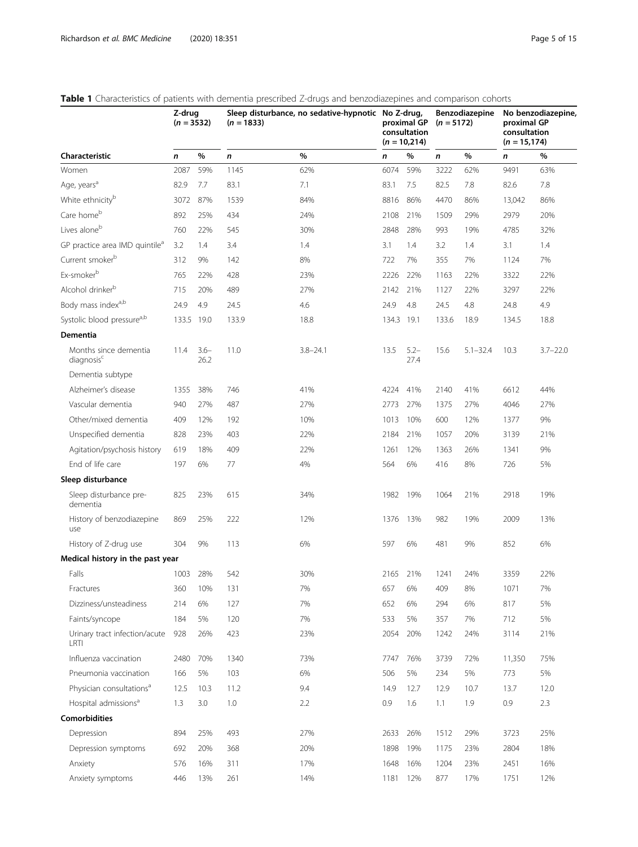|                                                 | Z-drug<br>$(n = 3532)$ |                 | $(n = 1833)$ | Sleep disturbance, no sedative-hypnotic No Z-drug, |            | proximal GP<br>consultation<br>$(n = 10,214)$ |       | Benzodiazepine<br>$(n = 5172)$ |        | No benzodiazepine,<br>proximal GP<br>consultation<br>$(n = 15, 174)$ |  |
|-------------------------------------------------|------------------------|-----------------|--------------|----------------------------------------------------|------------|-----------------------------------------------|-------|--------------------------------|--------|----------------------------------------------------------------------|--|
| Characteristic                                  | n                      | %               | n            | %                                                  | n          | %                                             | n     | %                              | n      | %                                                                    |  |
| Women                                           | 2087                   | 59%             | 1145         | 62%                                                | 6074       | 59%                                           | 3222  | 62%                            | 9491   | 63%                                                                  |  |
| Age, years <sup>a</sup>                         | 82.9                   | 7.7             | 83.1         | 7.1                                                | 83.1       | 7.5                                           | 82.5  | 7.8                            | 82.6   | 7.8                                                                  |  |
| White ethnicity <sup>b</sup>                    | 3072                   | 87%             | 1539         | 84%                                                | 8816       | 86%                                           | 4470  | 86%                            | 13,042 | 86%                                                                  |  |
| Care home <sup>b</sup>                          | 892                    | 25%             | 434          | 24%                                                | 2108       | 21%                                           | 1509  | 29%                            | 2979   | 20%                                                                  |  |
| Lives alone <sup>b</sup>                        | 760                    | 22%             | 545          | 30%                                                | 2848       | 28%                                           | 993   | 19%                            | 4785   | 32%                                                                  |  |
| GP practice area IMD quintile <sup>a</sup>      | 3.2                    | 1.4             | 3.4          | 1.4                                                | 3.1        | 1.4                                           | 3.2   | 1.4                            | 3.1    | 1.4                                                                  |  |
| Current smoker <sup>b</sup>                     | 312                    | 9%              | 142          | 8%                                                 | 722        | 7%                                            | 355   | 7%                             | 1124   | 7%                                                                   |  |
| Ex-smokerb                                      | 765                    | 22%             | 428          | 23%                                                | 2226       | 22%                                           | 1163  | 22%                            | 3322   | 22%                                                                  |  |
| Alcohol drinker <sup>b</sup>                    | 715                    | 20%             | 489          | 27%                                                | 2142       | 21%                                           | 1127  | 22%                            | 3297   | 22%                                                                  |  |
| Body mass indexa,b                              | 24.9                   | 4.9             | 24.5         | 4.6                                                | 24.9       | 4.8                                           | 24.5  | 4.8                            | 24.8   | 4.9                                                                  |  |
| Systolic blood pressure <sup>a,b</sup>          | 133.5 19.0             |                 | 133.9        | 18.8                                               | 134.3 19.1 |                                               | 133.6 | 18.9                           | 134.5  | 18.8                                                                 |  |
| <b>Dementia</b>                                 |                        |                 |              |                                                    |            |                                               |       |                                |        |                                                                      |  |
| Months since dementia<br>diagnosis <sup>c</sup> | 11.4                   | $3.6 -$<br>26.2 | 11.0         | $3.8 - 24.1$                                       | 13.5       | $5.2 -$<br>27.4                               | 15.6  | $5.1 - 32.4$                   | 10.3   | $3.7 - 22.0$                                                         |  |
| Dementia subtype                                |                        |                 |              |                                                    |            |                                               |       |                                |        |                                                                      |  |
| Alzheimer's disease                             | 1355                   | 38%             | 746          | 41%                                                | 4224       | 41%                                           | 2140  | 41%                            | 6612   | 44%                                                                  |  |
| Vascular dementia                               | 940                    | 27%             | 487          | 27%                                                | 2773       | 27%                                           | 1375  | 27%                            | 4046   | 27%                                                                  |  |
| Other/mixed dementia                            | 409                    | 12%             | 192          | 10%                                                | 1013       | 10%                                           | 600   | 12%                            | 1377   | 9%                                                                   |  |
| Unspecified dementia                            | 828                    | 23%             | 403          | 22%                                                | 2184       | 21%                                           | 1057  | 20%                            | 3139   | 21%                                                                  |  |
| Agitation/psychosis history                     | 619                    | 18%             | 409          | 22%                                                | 1261       | 12%                                           | 1363  | 26%                            | 1341   | 9%                                                                   |  |
| End of life care                                | 197                    | 6%              | 77           | 4%                                                 | 564        | 6%                                            | 416   | 8%                             | 726    | 5%                                                                   |  |
| Sleep disturbance                               |                        |                 |              |                                                    |            |                                               |       |                                |        |                                                                      |  |
| Sleep disturbance pre-<br>dementia              | 825                    | 23%             | 615          | 34%                                                | 1982       | 19%                                           | 1064  | 21%                            | 2918   | 19%                                                                  |  |
| History of benzodiazepine<br>use                | 869                    | 25%             | 222          | 12%                                                | 1376       | 13%                                           | 982   | 19%                            | 2009   | 13%                                                                  |  |
| History of Z-drug use                           | 304                    | 9%              | 113          | 6%                                                 | 597        | 6%                                            | 481   | 9%                             | 852    | 6%                                                                   |  |
| Medical history in the past year                |                        |                 |              |                                                    |            |                                               |       |                                |        |                                                                      |  |
| Falls                                           | 1003                   | 28%             | 542          | 30%                                                |            | 2165 21%                                      | 1241  | 24%                            | 3359   | 22%                                                                  |  |
| Fractures                                       | 360                    | 10%             | 131          | 7%                                                 | 657        | 6%                                            | 409   | 8%                             | 1071   | 7%                                                                   |  |
| Dizziness/unsteadiness                          | 214                    | 6%              | 127          | 7%                                                 | 652        | 6%                                            | 294   | 6%                             | 817    | 5%                                                                   |  |
| Faints/syncope                                  | 184                    | 5%              | 120          | 7%                                                 | 533        | 5%                                            | 357   | 7%                             | 712    | 5%                                                                   |  |
| Urinary tract infection/acute<br>LRTI           | 928                    | 26%             | 423          | 23%                                                | 2054       | 20%                                           | 1242  | 24%                            | 3114   | 21%                                                                  |  |
| Influenza vaccination                           | 2480                   | 70%             | 1340         | 73%                                                | 7747       | 76%                                           | 3739  | 72%                            | 11,350 | 75%                                                                  |  |
| Pneumonia vaccination                           | 166                    | 5%              | 103          | 6%                                                 | 506        | 5%                                            | 234   | 5%                             | 773    | 5%                                                                   |  |
| Physician consultations <sup>a</sup>            | 12.5                   | 10.3            | 11.2         | 9.4                                                | 14.9       | 12.7                                          | 12.9  | 10.7                           | 13.7   | 12.0                                                                 |  |
| Hospital admissions <sup>a</sup>                | 1.3                    | 3.0             | 1.0          | 2.2                                                | 0.9        | 1.6                                           | 1.1   | 1.9                            | 0.9    | 2.3                                                                  |  |
| <b>Comorbidities</b>                            |                        |                 |              |                                                    |            |                                               |       |                                |        |                                                                      |  |
| Depression                                      | 894                    | 25%             | 493          | 27%                                                | 2633       | 26%                                           | 1512  | 29%                            | 3723   | 25%                                                                  |  |
| Depression symptoms                             | 692                    | 20%             | 368          | 20%                                                | 1898       | 19%                                           | 1175  | 23%                            | 2804   | 18%                                                                  |  |
| Anxiety                                         | 576                    | 16%             | 311          | 17%                                                | 1648       | 16%                                           | 1204  | 23%                            | 2451   | 16%                                                                  |  |
| Anxiety symptoms                                | 446                    | 13%             | 261          | 14%                                                | 1181       | 12%                                           | 877   | 17%                            | 1751   | 12%                                                                  |  |

### <span id="page-4-0"></span>Table 1 Characteristics of patients with dementia prescribed Z-drugs and benzodiazepines and comparison cohorts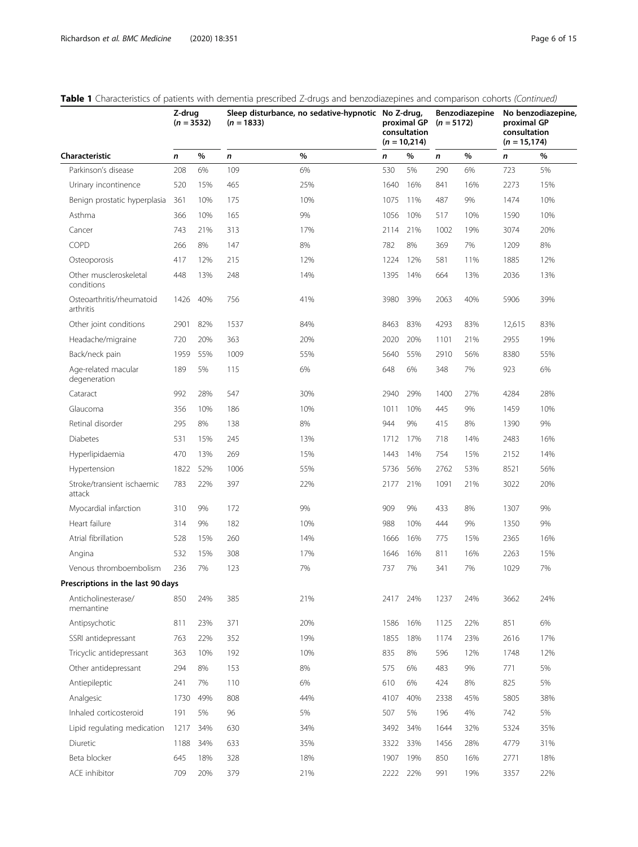|                                        | Z-drug<br>$(n = 3532)$ |     | $(n = 1833)$ | Sleep disturbance, no sedative-hypnotic No Z-drug, |              | proximal GP<br>consultation<br>$(n = 10,214)$ | Benzodiazepine<br>$(n = 5172)$ |     | No benzodiazepine,<br>proximal GP<br>consultation<br>$(n = 15, 174)$ |     |
|----------------------------------------|------------------------|-----|--------------|----------------------------------------------------|--------------|-----------------------------------------------|--------------------------------|-----|----------------------------------------------------------------------|-----|
| Characteristic                         | n                      | %   | n            | %                                                  | $\mathsf{n}$ | %                                             | n                              | %   | n                                                                    | %   |
| Parkinson's disease                    | 208                    | 6%  | 109          | 6%                                                 | 530          | 5%                                            | 290                            | 6%  | 723                                                                  | 5%  |
| Urinary incontinence                   | 520                    | 15% | 465          | 25%                                                | 1640         | 16%                                           | 841                            | 16% | 2273                                                                 | 15% |
| Benign prostatic hyperplasia           | 361                    | 10% | 175          | 10%                                                | 1075         | 11%                                           | 487                            | 9%  | 1474                                                                 | 10% |
| Asthma                                 | 366                    | 10% | 165          | 9%                                                 | 1056         | 10%                                           | 517                            | 10% | 1590                                                                 | 10% |
| Cancer                                 | 743                    | 21% | 313          | 17%                                                | 2114         | 21%                                           | 1002                           | 19% | 3074                                                                 | 20% |
| COPD                                   | 266                    | 8%  | 147          | 8%                                                 | 782          | 8%                                            | 369                            | 7%  | 1209                                                                 | 8%  |
| Osteoporosis                           | 417                    | 12% | 215          | 12%                                                | 1224         | 12%                                           | 581                            | 11% | 1885                                                                 | 12% |
| Other muscleroskeletal<br>conditions   | 448                    | 13% | 248          | 14%                                                | 1395         | 14%                                           | 664                            | 13% | 2036                                                                 | 13% |
| Osteoarthritis/rheumatoid<br>arthritis | 1426                   | 40% | 756          | 41%                                                | 3980         | 39%                                           | 2063                           | 40% | 5906                                                                 | 39% |
| Other joint conditions                 | 2901                   | 82% | 1537         | 84%                                                | 8463         | 83%                                           | 4293                           | 83% | 12,615                                                               | 83% |
| Headache/migraine                      | 720                    | 20% | 363          | 20%                                                | 2020         | 20%                                           | 1101                           | 21% | 2955                                                                 | 19% |
| Back/neck pain                         | 1959                   | 55% | 1009         | 55%                                                | 5640         | 55%                                           | 2910                           | 56% | 8380                                                                 | 55% |
| Age-related macular<br>degeneration    | 189                    | 5%  | 115          | 6%                                                 | 648          | 6%                                            | 348                            | 7%  | 923                                                                  | 6%  |
| Cataract                               | 992                    | 28% | 547          | 30%                                                | 2940         | 29%                                           | 1400                           | 27% | 4284                                                                 | 28% |
| Glaucoma                               | 356                    | 10% | 186          | 10%                                                | 1011         | 10%                                           | 445                            | 9%  | 1459                                                                 | 10% |
| Retinal disorder                       | 295                    | 8%  | 138          | 8%                                                 | 944          | 9%                                            | 415                            | 8%  | 1390                                                                 | 9%  |
| <b>Diabetes</b>                        | 531                    | 15% | 245          | 13%                                                | 1712         | 17%                                           | 718                            | 14% | 2483                                                                 | 16% |
| Hyperlipidaemia                        | 470                    | 13% | 269          | 15%                                                | 1443         | 14%                                           | 754                            | 15% | 2152                                                                 | 14% |
| Hypertension                           | 1822                   | 52% | 1006         | 55%                                                | 5736         | 56%                                           | 2762                           | 53% | 8521                                                                 | 56% |
| Stroke/transient ischaemic<br>attack   | 783                    | 22% | 397          | 22%                                                | 2177         | 21%                                           | 1091                           | 21% | 3022                                                                 | 20% |
| Myocardial infarction                  | 310                    | 9%  | 172          | 9%                                                 | 909          | 9%                                            | 433                            | 8%  | 1307                                                                 | 9%  |
| Heart failure                          | 314                    | 9%  | 182          | 10%                                                | 988          | 10%                                           | 444                            | 9%  | 1350                                                                 | 9%  |
| Atrial fibrillation                    | 528                    | 15% | 260          | 14%                                                | 1666         | 16%                                           | 775                            | 15% | 2365                                                                 | 16% |
| Angina                                 | 532                    | 15% | 308          | 17%                                                | 1646         | 16%                                           | 811                            | 16% | 2263                                                                 | 15% |
| Venous thromboembolism                 | 236                    | 7%  | 123          | 7%                                                 | 737          | 7%                                            | 341                            | 7%  | 1029                                                                 | 7%  |
| Prescriptions in the last 90 days      |                        |     |              |                                                    |              |                                               |                                |     |                                                                      |     |
| Anticholinesterase/<br>memantine       | 850                    | 24% | 385          | 21%                                                | 2417         | 24%                                           | 1237                           | 24% | 3662                                                                 | 24% |
| Antipsychotic                          | 811                    | 23% | 371          | 20%                                                | 1586         | 16%                                           | 1125                           | 22% | 851                                                                  | 6%  |
| SSRI antidepressant                    | 763                    | 22% | 352          | 19%                                                | 1855         | 18%                                           | 1174                           | 23% | 2616                                                                 | 17% |
| Tricyclic antidepressant               | 363                    | 10% | 192          | 10%                                                | 835          | 8%                                            | 596                            | 12% | 1748                                                                 | 12% |
| Other antidepressant                   | 294                    | 8%  | 153          | 8%                                                 | 575          | 6%                                            | 483                            | 9%  | 771                                                                  | 5%  |
| Antiepileptic                          | 241                    | 7%  | 110          | 6%                                                 | 610          | 6%                                            | 424                            | 8%  | 825                                                                  | 5%  |
| Analgesic                              | 1730                   | 49% | 808          | 44%                                                | 4107         | 40%                                           | 2338                           | 45% | 5805                                                                 | 38% |
| Inhaled corticosteroid                 | 191                    | 5%  | 96           | 5%                                                 | 507          | 5%                                            | 196                            | 4%  | 742                                                                  | 5%  |
| Lipid regulating medication            | 1217                   | 34% | 630          | 34%                                                | 3492         | 34%                                           | 1644                           | 32% | 5324                                                                 | 35% |
| Diuretic                               | 1188                   | 34% | 633          | 35%                                                | 3322 33%     |                                               | 1456                           | 28% | 4779                                                                 | 31% |
| Beta blocker                           | 645                    | 18% | 328          | 18%                                                | 1907         | 19%                                           | 850                            | 16% | 2771                                                                 | 18% |
| ACE inhibitor                          | 709                    | 20% | 379          | 21%                                                | 2222         | 22%                                           | 991                            | 19% | 3357                                                                 | 22% |

#### Table 1 Characteristics of patients with dementia prescribed Z-drugs and benzodiazepines and comparison cohorts (Continued)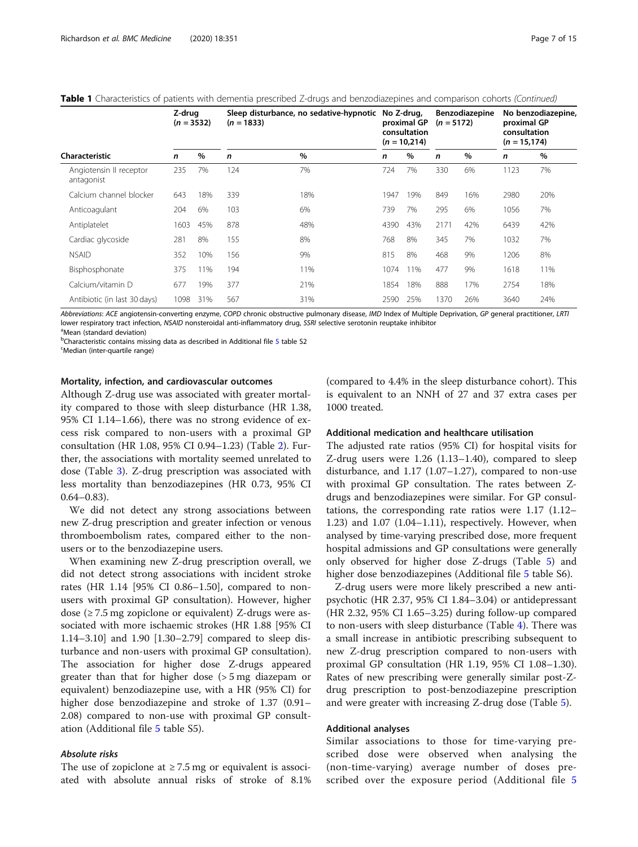| <b>Table 1</b> Characteristics of patients with dementia prescribed Z-drugs and benzodiazepines and comparison cohorts (Continued) |  |  |  |  |  |
|------------------------------------------------------------------------------------------------------------------------------------|--|--|--|--|--|
|                                                                                                                                    |  |  |  |  |  |

|                                       | Z-drug<br>$(n = 3532)$ |      | $(n = 1833)$ | Sleep disturbance, no sedative-hypnotic |      | No Z-drug,<br>Benzodiazepine<br>proximal GP<br>$(n = 5172)$<br>consultation<br>$(n = 10,214)$ |      |      | No benzodiazepine,<br>proximal GP<br>consultation<br>$(n = 15, 174)$ |      |
|---------------------------------------|------------------------|------|--------------|-----------------------------------------|------|-----------------------------------------------------------------------------------------------|------|------|----------------------------------------------------------------------|------|
| Characteristic                        | n                      | $\%$ | $\mathsf{n}$ | $\%$                                    | n    | $\%$                                                                                          | n    | $\%$ | n                                                                    | $\%$ |
| Angiotensin II receptor<br>antagonist | 235                    | 7%   | 124          | 7%                                      | 724  | 7%                                                                                            | 330  | 6%   | 1123                                                                 | 7%   |
| Calcium channel blocker               | 643                    | 18%  | 339          | 18%                                     | 1947 | 19%                                                                                           | 849  | 16%  | 2980                                                                 | 20%  |
| Anticoagulant                         | 204                    | 6%   | 103          | 6%                                      | 739  | 7%                                                                                            | 295  | 6%   | 1056                                                                 | 7%   |
| Antiplatelet                          | 1603                   | 45%  | 878          | 48%                                     | 4390 | 43%                                                                                           | 2171 | 42%  | 6439                                                                 | 42%  |
| Cardiac glycoside                     | 281                    | 8%   | 155          | 8%                                      | 768  | 8%                                                                                            | 345  | 7%   | 1032                                                                 | 7%   |
| <b>NSAID</b>                          | 352                    | 10%  | 156          | 9%                                      | 815  | 8%                                                                                            | 468  | 9%   | 1206                                                                 | 8%   |
| Bisphosphonate                        | 375                    | 1%   | 194          | 11%                                     | 1074 | 11%                                                                                           | 477  | 9%   | 1618                                                                 | 11%  |
| Calcium/vitamin D                     | 677                    | 19%  | 377          | 21%                                     | 1854 | 18%                                                                                           | 888  | 17%  | 2754                                                                 | 18%  |
| Antibiotic (in last 30 days)          | 1098                   | 31%  | 567          | 31%                                     | 2590 | 25%                                                                                           | 1370 | 26%  | 3640                                                                 | 24%  |

Abbreviations: ACE angiotensin-converting enzyme, COPD chronic obstructive pulmonary disease, IMD Index of Multiple Deprivation, GP general practitioner, LRTI lower respiratory tract infection, NSAID nonsteroidal anti-inflammatory drug, SSRI selective serotonin reuptake inhibitor

<sup>a</sup>Mean (standard deviation)

<sup>b</sup>Characteristic contains missing data as described in Additional file [5](#page-12-0) table S2<br><sup>C</sup>Median (inter-quartile range)

Median (inter-quartile range)

#### Mortality, infection, and cardiovascular outcomes

Although Z-drug use was associated with greater mortality compared to those with sleep disturbance (HR 1.38, 95% CI 1.14–1.66), there was no strong evidence of excess risk compared to non-users with a proximal GP consultation (HR 1.08, 95% CI 0.94–1.23) (Table [2\)](#page-7-0). Further, the associations with mortality seemed unrelated to dose (Table [3](#page-8-0)). Z-drug prescription was associated with less mortality than benzodiazepines (HR 0.73, 95% CI  $0.64 - 0.83$ ).

We did not detect any strong associations between new Z-drug prescription and greater infection or venous thromboembolism rates, compared either to the nonusers or to the benzodiazepine users.

When examining new Z-drug prescription overall, we did not detect strong associations with incident stroke rates (HR 1.14 [95% CI 0.86–1.50], compared to nonusers with proximal GP consultation). However, higher dose (≥ 7.5 mg zopiclone or equivalent) Z-drugs were associated with more ischaemic strokes (HR 1.88 [95% CI 1.14–3.10] and 1.90 [1.30–2.79] compared to sleep disturbance and non-users with proximal GP consultation). The association for higher dose Z-drugs appeared greater than that for higher dose (> 5 mg diazepam or equivalent) benzodiazepine use, with a HR (95% CI) for higher dose benzodiazepine and stroke of 1.37 (0.91– 2.08) compared to non-use with proximal GP consultation (Additional file [5](#page-12-0) table S5).

#### Absolute risks

The use of zopiclone at  $\geq 7.5$  mg or equivalent is associated with absolute annual risks of stroke of 8.1%

(compared to 4.4% in the sleep disturbance cohort). This is equivalent to an NNH of 27 and 37 extra cases per 1000 treated.

#### Additional medication and healthcare utilisation

The adjusted rate ratios (95% CI) for hospital visits for Z-drug users were 1.26 (1.13–1.40), compared to sleep disturbance, and  $1.17$  ( $1.07-1.27$ ), compared to non-use with proximal GP consultation. The rates between Zdrugs and benzodiazepines were similar. For GP consultations, the corresponding rate ratios were 1.17 (1.12– 1.23) and 1.07 (1.04–1.11), respectively. However, when analysed by time-varying prescribed dose, more frequent hospital admissions and GP consultations were generally only observed for higher dose Z-drugs (Table [5](#page-10-0)) and higher dose benzodiazepines (Additional file [5](#page-12-0) table S6).

Z-drug users were more likely prescribed a new antipsychotic (HR 2.37, 95% CI 1.84–3.04) or antidepressant (HR 2.32, 95% CI 1.65–3.25) during follow-up compared to non-users with sleep disturbance (Table [4](#page-9-0)). There was a small increase in antibiotic prescribing subsequent to new Z-drug prescription compared to non-users with proximal GP consultation (HR 1.19, 95% CI 1.08–1.30). Rates of new prescribing were generally similar post-Zdrug prescription to post-benzodiazepine prescription and were greater with increasing Z-drug dose (Table [5](#page-10-0)).

#### Additional analyses

Similar associations to those for time-varying prescribed dose were observed when analysing the (non-time-varying) average number of doses prescribed over the exposure period (Additional file [5](#page-12-0)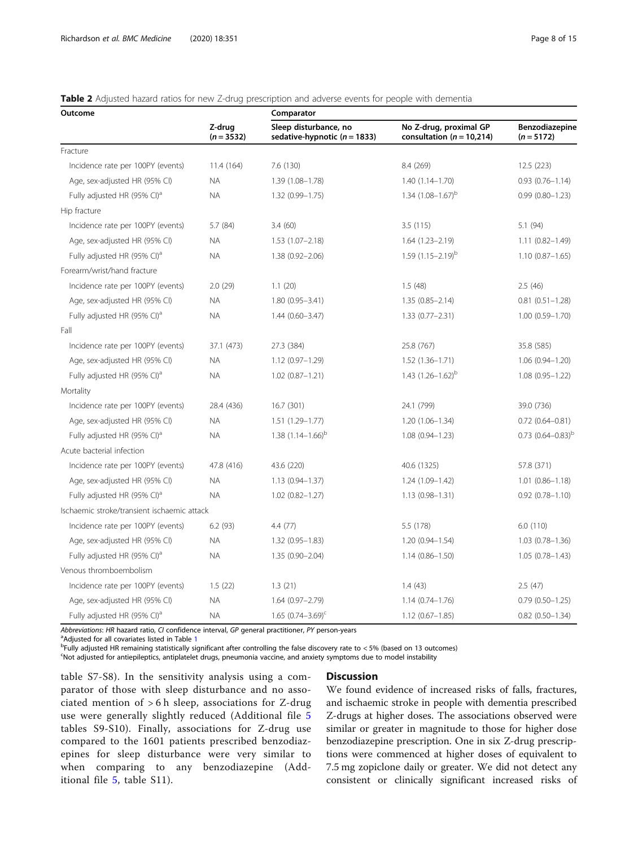#### <span id="page-7-0"></span>Table 2 Adjusted hazard ratios for new Z-drug prescription and adverse events for people with dementia

| Outcome                                     |                        | Comparator                                                |                                                         |                                |  |  |  |  |
|---------------------------------------------|------------------------|-----------------------------------------------------------|---------------------------------------------------------|--------------------------------|--|--|--|--|
|                                             | Z-drug<br>$(n = 3532)$ | Sleep disturbance, no<br>sedative-hypnotic ( $n = 1833$ ) | No Z-drug, proximal GP<br>consultation ( $n = 10,214$ ) | Benzodiazepine<br>$(n = 5172)$ |  |  |  |  |
| Fracture                                    |                        |                                                           |                                                         |                                |  |  |  |  |
| Incidence rate per 100PY (events)           | 11.4 (164)             | 7.6 (130)                                                 | 8.4 (269)                                               | 12.5 (223)                     |  |  |  |  |
| Age, sex-adjusted HR (95% CI)               | <b>NA</b>              | 1.39 (1.08-1.78)                                          | $1.40(1.14 - 1.70)$                                     | $0.93(0.76 - 1.14)$            |  |  |  |  |
| Fully adjusted HR (95% CI) <sup>a</sup>     | <b>NA</b>              | 1.32 (0.99-1.75)                                          | 1.34 $(1.08 - 1.67)^{b}$                                | $0.99(0.80 - 1.23)$            |  |  |  |  |
| Hip fracture                                |                        |                                                           |                                                         |                                |  |  |  |  |
| Incidence rate per 100PY (events)           | 5.7(84)                | 3.4(60)                                                   | 3.5(115)                                                | 5.1(94)                        |  |  |  |  |
| Age, sex-adjusted HR (95% CI)               | <b>NA</b>              | $1.53(1.07 - 2.18)$                                       | $1.64(1.23 - 2.19)$                                     | $1.11(0.82 - 1.49)$            |  |  |  |  |
| Fully adjusted HR (95% CI) <sup>a</sup>     | <b>NA</b>              | 1.38 (0.92-2.06)                                          | 1.59 $(1.15-2.19)^{b}$                                  | $1.10(0.87 - 1.65)$            |  |  |  |  |
| Forearm/wrist/hand fracture                 |                        |                                                           |                                                         |                                |  |  |  |  |
| Incidence rate per 100PY (events)           | 2.0(29)                | 1.1(20)                                                   | 1.5(48)                                                 | 2.5(46)                        |  |  |  |  |
| Age, sex-adjusted HR (95% CI)               | <b>NA</b>              | $1.80(0.95 - 3.41)$                                       | $1.35(0.85 - 2.14)$                                     | $0.81(0.51 - 1.28)$            |  |  |  |  |
| Fully adjusted HR (95% CI) <sup>a</sup>     | <b>NA</b>              | $1.44(0.60 - 3.47)$                                       | $1.33(0.77 - 2.31)$                                     | $1.00(0.59 - 1.70)$            |  |  |  |  |
| Fall                                        |                        |                                                           |                                                         |                                |  |  |  |  |
| Incidence rate per 100PY (events)           | 37.1 (473)             | 27.3 (384)                                                | 25.8 (767)                                              | 35.8 (585)                     |  |  |  |  |
| Age, sex-adjusted HR (95% CI)               | <b>NA</b>              | $1.12(0.97 - 1.29)$                                       | $1.52(1.36 - 1.71)$                                     | $1.06(0.94 - 1.20)$            |  |  |  |  |
| Fully adjusted HR (95% CI) <sup>a</sup>     | <b>NA</b>              | $1.02(0.87 - 1.21)$                                       | 1.43 $(1.26 - 1.62)^{b}$                                | $1.08(0.95 - 1.22)$            |  |  |  |  |
| Mortality                                   |                        |                                                           |                                                         |                                |  |  |  |  |
| Incidence rate per 100PY (events)           | 28.4 (436)             | 16.7(301)                                                 | 24.1 (799)                                              | 39.0 (736)                     |  |  |  |  |
| Age, sex-adjusted HR (95% CI)               | <b>NA</b>              | $1.51(1.29 - 1.77)$                                       | $1.20(1.06 - 1.34)$                                     | $0.72$ $(0.64 - 0.81)$         |  |  |  |  |
| Fully adjusted HR (95% CI) <sup>a</sup>     | <b>NA</b>              | $1.38(1.14-1.66)^b$                                       | $1.08(0.94 - 1.23)$                                     | $0.73$ $(0.64 - 0.83)^b$       |  |  |  |  |
| Acute bacterial infection                   |                        |                                                           |                                                         |                                |  |  |  |  |
| Incidence rate per 100PY (events)           | 47.8 (416)             | 43.6 (220)                                                | 40.6 (1325)                                             | 57.8 (371)                     |  |  |  |  |
| Age, sex-adjusted HR (95% CI)               | <b>NA</b>              | $1.13(0.94 - 1.37)$                                       | $1.24(1.09 - 1.42)$                                     | $1.01$ $(0.86 - 1.18)$         |  |  |  |  |
| Fully adjusted HR (95% CI) <sup>a</sup>     | <b>NA</b>              | $1.02(0.82 - 1.27)$                                       | $1.13(0.98 - 1.31)$                                     | $0.92(0.78 - 1.10)$            |  |  |  |  |
| Ischaemic stroke/transient ischaemic attack |                        |                                                           |                                                         |                                |  |  |  |  |
| Incidence rate per 100PY (events)           | 6.2(93)                | 4.4(77)                                                   | 5.5 (178)                                               | 6.0(110)                       |  |  |  |  |
| Age, sex-adjusted HR (95% CI)               | <b>NA</b>              | $1.32(0.95 - 1.83)$                                       | $1.20(0.94 - 1.54)$                                     | $1.03(0.78 - 1.36)$            |  |  |  |  |
| Fully adjusted HR (95% CI) <sup>a</sup>     | <b>NA</b>              | 1.35 (0.90-2.04)                                          | $1.14(0.86 - 1.50)$                                     | $1.05(0.78 - 1.43)$            |  |  |  |  |
| Venous thromboembolism                      |                        |                                                           |                                                         |                                |  |  |  |  |
| Incidence rate per 100PY (events)           | 1.5(22)                | 1.3(21)                                                   | 1.4(43)                                                 | 2.5(47)                        |  |  |  |  |
| Age, sex-adjusted HR (95% CI)               | <b>NA</b>              | $1.64(0.97 - 2.79)$                                       | $1.14(0.74 - 1.76)$                                     | $0.79(0.50 - 1.25)$            |  |  |  |  |
| Fully adjusted HR (95% CI) <sup>a</sup>     | <b>NA</b>              | $1.65$ (0.74-3.69) <sup>c</sup>                           | $1.12(0.67 - 1.85)$                                     | $0.82$ (0.50-1.34)             |  |  |  |  |

Abbreviations: HR hazard ratio, CI confidence interval, GP general practitioner, PY person-years  $a_{\text{Adjusted}}$  for all covariates listed in Table 1

<sup>a</sup>Adjusted for all covariates listed in Table [1](#page-4-0)<br><sup>b</sup>Fully adjusted HR remaining statistically significant after controlling the false discovery rate to < 5% (based on 13 outcomes)

c Not adjusted for antiepileptics, antiplatelet drugs, pneumonia vaccine, and anxiety symptoms due to model instability

table S7-S8). In the sensitivity analysis using a comparator of those with sleep disturbance and no associated mention of > 6 h sleep, associations for Z-drug use were generally slightly reduced (Additional file [5](#page-12-0) tables S9-S10). Finally, associations for Z-drug use compared to the 1601 patients prescribed benzodiazepines for sleep disturbance were very similar to when comparing to any benzodiazepine (Additional file [5,](#page-12-0) table S11).

#### **Discussion**

We found evidence of increased risks of falls, fractures, and ischaemic stroke in people with dementia prescribed Z-drugs at higher doses. The associations observed were similar or greater in magnitude to those for higher dose benzodiazepine prescription. One in six Z-drug prescriptions were commenced at higher doses of equivalent to 7.5 mg zopiclone daily or greater. We did not detect any consistent or clinically significant increased risks of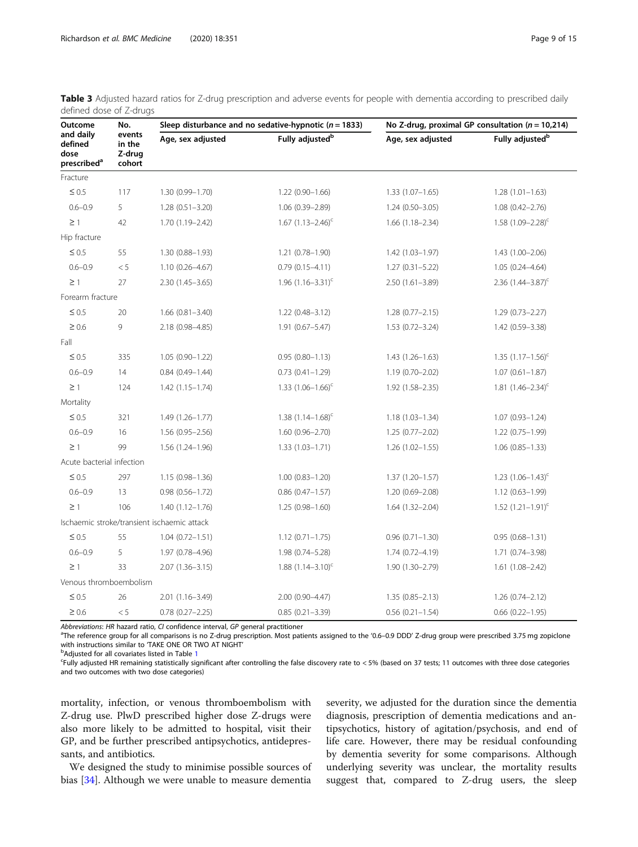| No.<br>Outcome                                          |                                      |                                             | Sleep disturbance and no sedative-hypnotic ( $n = 1833$ ) | No Z-drug, proximal GP consultation ( $n = 10,214$ ) |                             |  |  |  |
|---------------------------------------------------------|--------------------------------------|---------------------------------------------|-----------------------------------------------------------|------------------------------------------------------|-----------------------------|--|--|--|
| and daily<br>defined<br>dose<br>prescribed <sup>a</sup> | events<br>in the<br>Z-drug<br>cohort | Age, sex adjusted                           | Fully adjusted <sup>b</sup>                               | Age, sex adjusted                                    | Fully adjusted <sup>b</sup> |  |  |  |
| Fracture                                                |                                      |                                             |                                                           |                                                      |                             |  |  |  |
| $\leq 0.5$                                              | 117                                  | 1.30 (0.99-1.70)                            | $1.22(0.90 - 1.66)$                                       | $1.33(1.07-1.65)$                                    | $1.28(1.01-1.63)$           |  |  |  |
| $0.6 - 0.9$                                             | 5                                    | $1.28(0.51 - 3.20)$                         | 1.06 (0.39-2.89)                                          | $1.24(0.50 - 3.05)$                                  | $1.08(0.42 - 2.76)$         |  |  |  |
| $\geq$ 1                                                | 42                                   | 1.70 (1.19-2.42)                            | $1.67$ $(1.13 - 2.46)^c$                                  | $1.66(1.18-2.34)$                                    | $1.58$ $(1.09 - 2.28)^c$    |  |  |  |
| Hip fracture                                            |                                      |                                             |                                                           |                                                      |                             |  |  |  |
| $\leq 0.5$                                              | 55                                   | 1.30 (0.88-1.93)                            | $1.21(0.78 - 1.90)$                                       | 1.42 (1.03-1.97)                                     | $1.43(1.00 - 2.06)$         |  |  |  |
| $0.6 - 0.9$                                             | < 5                                  | $1.10(0.26 - 4.67)$                         | $0.79(0.15 - 4.11)$                                       | $1.27(0.31 - 5.22)$                                  | $1.05(0.24 - 4.64)$         |  |  |  |
| $\geq$ 1                                                | 27                                   | $2.30(1.45 - 3.65)$                         | $1.96$ $(1.16 - 3.31)^c$                                  | 2.50 (1.61-3.89)                                     | 2.36 $(1.44 - 3.87)^c$      |  |  |  |
| Forearm fracture                                        |                                      |                                             |                                                           |                                                      |                             |  |  |  |
| $\leq 0.5$                                              | 20                                   | $1.66(0.81 - 3.40)$                         | $1.22(0.48 - 3.12)$                                       | $1.28(0.77 - 2.15)$                                  | $1.29(0.73 - 2.27)$         |  |  |  |
| $\geq 0.6$                                              | 9                                    | 2.18 (0.98-4.85)                            | $1.91(0.67 - 5.47)$                                       | $1.53(0.72 - 3.24)$                                  | 1.42 (0.59-3.38)            |  |  |  |
| Fall                                                    |                                      |                                             |                                                           |                                                      |                             |  |  |  |
| $\leq 0.5$                                              | 335                                  | $1.05(0.90 - 1.22)$                         | $0.95(0.80 - 1.13)$                                       | $1.43(1.26 - 1.63)$                                  | $1.35$ $(1.17-1.56)^c$      |  |  |  |
| $0.6 - 0.9$                                             | 14                                   | $0.84(0.49 - 1.44)$                         | $0.73(0.41 - 1.29)$                                       | $1.19(0.70 - 2.02)$                                  | $1.07(0.61 - 1.87)$         |  |  |  |
| $\geq$ 1                                                | 124                                  | $1.42(1.15 - 1.74)$                         | 1.33 $(1.06 - 1.66)^c$                                    | 1.92 (1.58-2.35)                                     | 1.81 $(1.46 - 2.34)^c$      |  |  |  |
| Mortality                                               |                                      |                                             |                                                           |                                                      |                             |  |  |  |
| $\leq 0.5$                                              | 321                                  | 1.49 (1.26-1.77)                            | $1.38$ $(1.14 - 1.68)^c$                                  | $1.18(1.03 - 1.34)$                                  | $1.07(0.93 - 1.24)$         |  |  |  |
| $0.6 - 0.9$                                             | 16                                   | $1.56(0.95 - 2.56)$                         | $1.60(0.96 - 2.70)$                                       | $1.25(0.77 - 2.02)$                                  | 1.22 (0.75-1.99)            |  |  |  |
| $\geq$ 1                                                | 99                                   | 1.56 (1.24-1.96)                            | $1.33(1.03 - 1.71)$                                       | $1.26(1.02 - 1.55)$                                  | $1.06(0.85 - 1.33)$         |  |  |  |
| Acute bacterial infection                               |                                      |                                             |                                                           |                                                      |                             |  |  |  |
| $\leq 0.5$                                              | 297                                  | $1.15(0.98 - 1.36)$                         | $1.00(0.83 - 1.20)$                                       | $1.37(1.20 - 1.57)$                                  | $1.23$ $(1.06 - 1.43)^{c}$  |  |  |  |
| $0.6 - 0.9$                                             | 13                                   | $0.98(0.56 - 1.72)$                         | $0.86$ $(0.47 - 1.57)$                                    | $1.20(0.69 - 2.08)$                                  | $1.12(0.63 - 1.99)$         |  |  |  |
| $\geq$ 1                                                | 106                                  | $1.40(1.12 - 1.76)$                         | $1.25(0.98 - 1.60)$                                       | $1.64(1.32 - 2.04)$                                  | $1.52$ $(1.21 - 1.91)^c$    |  |  |  |
|                                                         |                                      | Ischaemic stroke/transient ischaemic attack |                                                           |                                                      |                             |  |  |  |
| $\leq 0.5$                                              | 55                                   | $1.04(0.72 - 1.51)$                         | $1.12(0.71 - 1.75)$                                       | $0.96(0.71 - 1.30)$                                  | $0.95(0.68 - 1.31)$         |  |  |  |
| $0.6 - 0.9$                                             | 5                                    | 1.97 (0.78-4.96)                            | 1.98 (0.74-5.28)                                          | $1.74(0.72 - 4.19)$                                  | 1.71 (0.74-3.98)            |  |  |  |
| $\geq$ 1                                                | 33                                   | $2.07(1.36 - 3.15)$                         | 1.88 $(1.14 - 3.10)^c$                                    | 1.90 (1.30-2.79)                                     | 1.61 (1.08-2.42)            |  |  |  |
| Venous thromboembolism                                  |                                      |                                             |                                                           |                                                      |                             |  |  |  |
| $\leq 0.5$                                              | 26                                   | 2.01 (1.16-3.49)                            | 2.00 (0.90-4.47)                                          | $1.35(0.85 - 2.13)$                                  | $1.26(0.74 - 2.12)$         |  |  |  |
| $\geq 0.6$                                              | $< 5\,$                              | $0.78$ $(0.27 - 2.25)$                      | $0.85(0.21 - 3.39)$                                       | $0.56$ $(0.21 - 1.54)$                               | $0.66$ $(0.22 - 1.95)$      |  |  |  |

<span id="page-8-0"></span>Table 3 Adjusted hazard ratios for Z-drug prescription and adverse events for people with dementia according to prescribed daily defined dose of Z-drugs

Abbreviations: HR hazard ratio, CI confidence interval, GP general practitioner

<sup>a</sup>The reference group for all comparisons is no Z-drug prescription. Most patients assigned to the '0.6-0.9 DDD' Z-drug group were prescribed 3.75 mg zopiclone with instructions similar to 'TAKE ONE OR TWO AT NIGHT'

<sup>b</sup>Adjusted for all covariates listed in Table [1](#page-4-0)

Fully adjusted HR remaining statistically significant after controlling the false discovery rate to < 5% (based on 37 tests; 11 outcomes with three dose categories and two outcomes with two dose categories)

mortality, infection, or venous thromboembolism with Z-drug use. PlwD prescribed higher dose Z-drugs were also more likely to be admitted to hospital, visit their GP, and be further prescribed antipsychotics, antidepressants, and antibiotics.

We designed the study to minimise possible sources of bias [[34](#page-13-0)]. Although we were unable to measure dementia

severity, we adjusted for the duration since the dementia diagnosis, prescription of dementia medications and antipsychotics, history of agitation/psychosis, and end of life care. However, there may be residual confounding by dementia severity for some comparisons. Although underlying severity was unclear, the mortality results suggest that, compared to Z-drug users, the sleep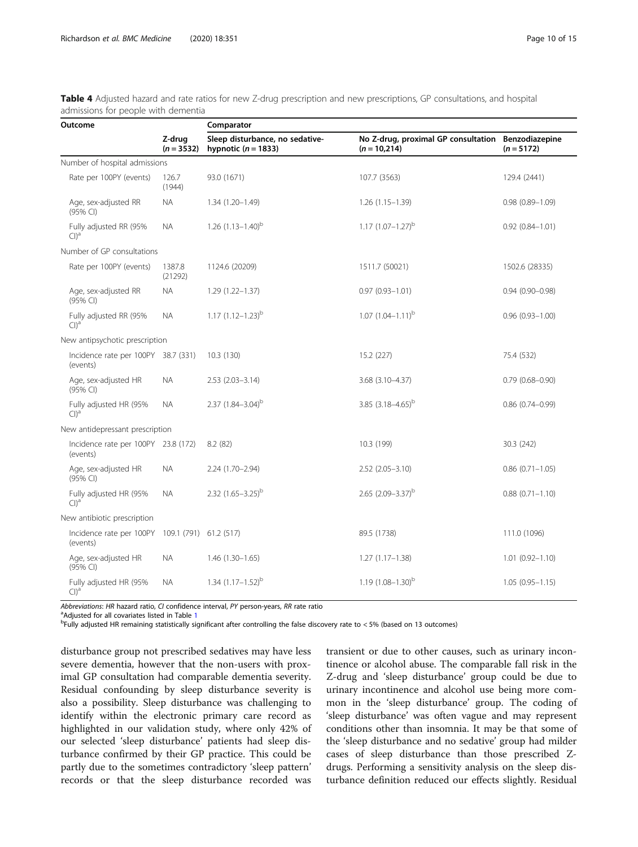| Outcome                                                     |                        | Comparator                                                 |                                                                      |                     |  |  |  |
|-------------------------------------------------------------|------------------------|------------------------------------------------------------|----------------------------------------------------------------------|---------------------|--|--|--|
|                                                             | Z-drug<br>$(n = 3532)$ | Sleep disturbance, no sedative-<br>hypnotic ( $n = 1833$ ) | No Z-drug, proximal GP consultation Benzodiazepine<br>$(n = 10,214)$ | $(n = 5172)$        |  |  |  |
| Number of hospital admissions                               |                        |                                                            |                                                                      |                     |  |  |  |
| Rate per 100PY (events)                                     | 126.7<br>(1944)        | 93.0 (1671)                                                | 107.7 (3563)                                                         | 129.4 (2441)        |  |  |  |
| Age, sex-adjusted RR<br>(95% CI)                            | <b>NA</b>              | $1.34(1.20 - 1.49)$                                        | $1.26(1.15-1.39)$                                                    | $0.98(0.89 - 1.09)$ |  |  |  |
| Fully adjusted RR (95%<br>$Cl)^a$                           | <b>NA</b>              | 1.26 $(1.13 - 1.40)^{b}$                                   | $1.17 (1.07 - 1.27)^{b}$                                             | $0.92(0.84 - 1.01)$ |  |  |  |
| Number of GP consultations                                  |                        |                                                            |                                                                      |                     |  |  |  |
| Rate per 100PY (events)                                     | 1387.8<br>(21292)      | 1124.6 (20209)                                             | 1511.7 (50021)                                                       | 1502.6 (28335)      |  |  |  |
| Age, sex-adjusted RR<br>(95% CI)                            | <b>NA</b>              | $1.29(1.22 - 1.37)$                                        | $0.97(0.93 - 1.01)$                                                  | $0.94(0.90 - 0.98)$ |  |  |  |
| Fully adjusted RR (95%<br>$Cl)^a$                           | <b>NA</b>              | 1.17 $(1.12 - 1.23)^{b}$                                   | $1.07$ $(1.04 - 1.11)^{b}$                                           | $0.96(0.93 - 1.00)$ |  |  |  |
| New antipsychotic prescription                              |                        |                                                            |                                                                      |                     |  |  |  |
| Incidence rate per 100PY 38.7 (331)<br>(events)             |                        | 10.3(130)                                                  | 15.2 (227)                                                           | 75.4 (532)          |  |  |  |
| Age, sex-adjusted HR<br>(95% CI)                            | <b>NA</b>              | $2.53$ $(2.03 - 3.14)$                                     | 3.68 (3.10-4.37)                                                     | $0.79(0.68 - 0.90)$ |  |  |  |
| Fully adjusted HR (95%<br>$Cl)^a$                           | <b>NA</b>              | $2.37(1.84 - 3.04)^b$                                      | 3.85 $(3.18-4.65)^{b}$                                               | $0.86(0.74 - 0.99)$ |  |  |  |
| New antidepressant prescription                             |                        |                                                            |                                                                      |                     |  |  |  |
| Incidence rate per 100PY 23.8 (172)<br>(events)             |                        | 8.2(82)                                                    | 10.3 (199)                                                           | 30.3 (242)          |  |  |  |
| Age, sex-adjusted HR<br>(95% CI)                            | <b>NA</b>              | 2.24 (1.70-2.94)                                           | $2.52(2.05 - 3.10)$                                                  | $0.86(0.71 - 1.05)$ |  |  |  |
| Fully adjusted HR (95%<br>$\Box$ <sup>a</sup>               | <b>NA</b>              | 2.32 $(1.65 - 3.25)^{b}$                                   | 2.65 $(2.09 - 3.37)^{b}$                                             | $0.88(0.71 - 1.10)$ |  |  |  |
| New antibiotic prescription                                 |                        |                                                            |                                                                      |                     |  |  |  |
| Incidence rate per 100PY 109.1 (791) 61.2 (517)<br>(events) |                        |                                                            | 89.5 (1738)                                                          | 111.0 (1096)        |  |  |  |
| Age, sex-adjusted HR<br>(95% CI)                            | <b>NA</b>              | $1.46(1.30-1.65)$                                          | $1.27(1.17-1.38)$                                                    | $1.01(0.92 - 1.10)$ |  |  |  |
| Fully adjusted HR (95%<br>$Cl)^a$                           | <b>NA</b>              | 1.34 $(1.17 - 1.52)^{b}$                                   | 1.19 $(1.08 - 1.30)^b$                                               | $1.05(0.95 - 1.15)$ |  |  |  |

<span id="page-9-0"></span>Table 4 Adjusted hazard and rate ratios for new Z-drug prescription and new prescriptions, GP consultations, and hospital admissions for people with dementia

Abbreviations: HR hazard ratio, CI confidence interval, PY person-years, RR rate ratio

<sup>a</sup>Adjusted for all covariates listed in Table [1](#page-4-0)

 $F$ Fully adjusted HR remaining statistically significant after controlling the false discovery rate to < 5% (based on 13 outcomes)

disturbance group not prescribed sedatives may have less severe dementia, however that the non-users with proximal GP consultation had comparable dementia severity. Residual confounding by sleep disturbance severity is also a possibility. Sleep disturbance was challenging to identify within the electronic primary care record as highlighted in our validation study, where only 42% of our selected 'sleep disturbance' patients had sleep disturbance confirmed by their GP practice. This could be partly due to the sometimes contradictory 'sleep pattern' records or that the sleep disturbance recorded was

transient or due to other causes, such as urinary incontinence or alcohol abuse. The comparable fall risk in the Z-drug and 'sleep disturbance' group could be due to urinary incontinence and alcohol use being more common in the 'sleep disturbance' group. The coding of 'sleep disturbance' was often vague and may represent conditions other than insomnia. It may be that some of the 'sleep disturbance and no sedative' group had milder cases of sleep disturbance than those prescribed Zdrugs. Performing a sensitivity analysis on the sleep disturbance definition reduced our effects slightly. Residual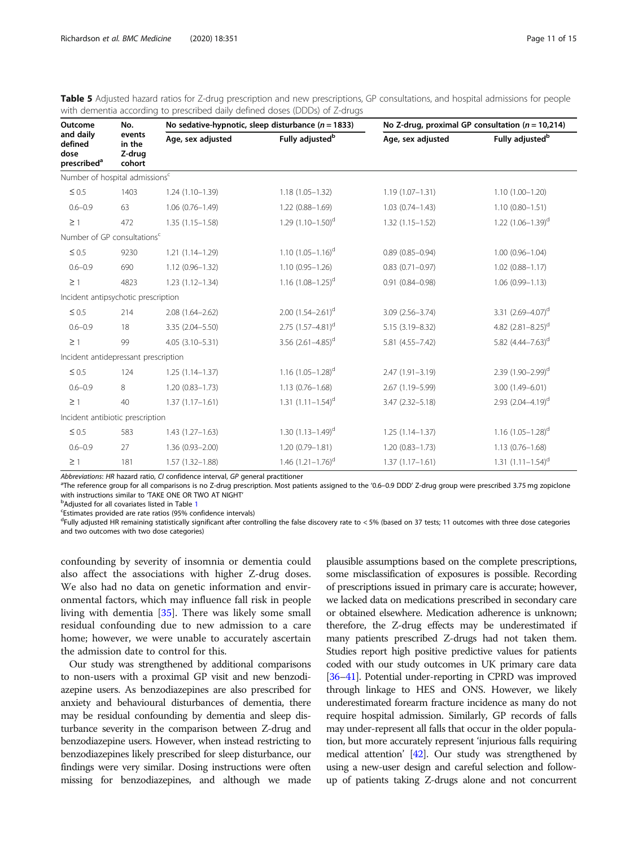| Outcome<br>No.<br>and daily<br>events<br>defined<br>in the<br>dose<br>Z-drug<br>prescribed <sup>a</sup><br>cohort |                   |                             | No sedative-hypnotic, sleep disturbance ( $n = 1833$ ) | No Z-drug, proximal GP consultation ( $n = 10,214$ ) |                                 |  |  |
|-------------------------------------------------------------------------------------------------------------------|-------------------|-----------------------------|--------------------------------------------------------|------------------------------------------------------|---------------------------------|--|--|
|                                                                                                                   | Age, sex adjusted | Fully adjusted <sup>b</sup> | Age, sex adjusted                                      | Fully adjusted <sup>b</sup>                          |                                 |  |  |
| Number of hospital admissions <sup>c</sup>                                                                        |                   |                             |                                                        |                                                      |                                 |  |  |
| $\leq 0.5$                                                                                                        | 1403              | $1.24(1.10-1.39)$           | $1.18(1.05 - 1.32)$                                    | $1.19(1.07 - 1.31)$                                  | $1.10(1.00 - 1.20)$             |  |  |
| $0.6 - 0.9$                                                                                                       | 63                | $1.06(0.76 - 1.49)$         | $1.22(0.88 - 1.69)$                                    | $1.03(0.74 - 1.43)$                                  | $1.10(0.80 - 1.51)$             |  |  |
| $\geq$ 1                                                                                                          | 472               | $1.35(1.15 - 1.58)$         | 1.29 $(1.10-1.50)$ <sup>d</sup>                        | $1.32(1.15 - 1.52)$                                  | 1.22 $(1.06-1.39)$ <sup>d</sup> |  |  |
| Number of GP consultations <sup>c</sup>                                                                           |                   |                             |                                                        |                                                      |                                 |  |  |
| $\leq 0.5$                                                                                                        | 9230              | $1.21(1.14 - 1.29)$         | 1.10 $(1.05 - 1.16)^d$                                 | $0.89(0.85 - 0.94)$                                  | $1.00(0.96 - 1.04)$             |  |  |
| $0.6 - 0.9$                                                                                                       | 690               | $1.12(0.96 - 1.32)$         | $1.10(0.95 - 1.26)$                                    | $0.83(0.71 - 0.97)$                                  | $1.02(0.88 - 1.17)$             |  |  |
| $\geq$ 1                                                                                                          | 4823              | $1.23(1.12 - 1.34)$         | 1.16 $(1.08 - 1.25)^d$                                 | $0.91(0.84 - 0.98)$                                  | $1.06(0.99 - 1.13)$             |  |  |
| Incident antipsychotic prescription                                                                               |                   |                             |                                                        |                                                      |                                 |  |  |
| $\leq 0.5$                                                                                                        | 214               | $2.08(1.64 - 2.62)$         | 2.00 $(1.54 - 2.61)^d$                                 | $3.09(2.56 - 3.74)$                                  | 3.31 $(2.69 - 4.07)^d$          |  |  |
| $0.6 - 0.9$                                                                                                       | 18                | 3.35 (2.04-5.50)            | 2.75 $(1.57 - 4.81)$ <sup>d</sup>                      | 5.15 (3.19-8.32)                                     | 4.82 $(2.81 - 8.25)^d$          |  |  |
| $\geq$ 1                                                                                                          | 99                | 4.05 (3.10-5.31)            | 3.56 $(2.61 - 4.85)^d$                                 | 5.81 (4.55-7.42)                                     | 5.82 $(4.44 - 7.63)^d$          |  |  |
| Incident antidepressant prescription                                                                              |                   |                             |                                                        |                                                      |                                 |  |  |
| $\leq 0.5$                                                                                                        | 124               | $1.25(1.14 - 1.37)$         | $1.16$ $(1.05-1.28)$ <sup>d</sup>                      | $2.47(1.91 - 3.19)$                                  | 2.39 $(1.90 - 2.99)^d$          |  |  |
| $0.6 - 0.9$                                                                                                       | 8                 | $1.20(0.83 - 1.73)$         | $1.13(0.76 - 1.68)$                                    | 2.67 (1.19-5.99)                                     | 3.00 (1.49-6.01)                |  |  |
| $\geq$ 1                                                                                                          | 40                | $1.37(1.17 - 1.61)$         | 1.31 $(1.11 - 1.54)^d$                                 | $3.47(2.32 - 5.18)$                                  | 2.93 $(2.04-4.19)$ <sup>d</sup> |  |  |
| Incident antibiotic prescription                                                                                  |                   |                             |                                                        |                                                      |                                 |  |  |
| $\leq 0.5$                                                                                                        | 583               | $1.43(1.27-1.63)$           | 1.30 $(1.13 - 1.49)^d$                                 | $1.25(1.14 - 1.37)$                                  | 1.16 $(1.05 - 1.28)^d$          |  |  |
| $0.6 - 0.9$                                                                                                       | 27                | $1.36(0.93 - 2.00)$         | $1.20(0.79 - 1.81)$                                    | $1.20(0.83 - 1.73)$                                  | $1.13(0.76 - 1.68)$             |  |  |
| $\geq$ 1                                                                                                          | 181               | $1.57(1.32 - 1.88)$         | 1.46 $(1.21 - 1.76)^d$                                 | $1.37(1.17 - 1.61)$                                  | 1.31 $(1.11 - 1.54)^d$          |  |  |

<span id="page-10-0"></span>Table 5 Adjusted hazard ratios for Z-drug prescription and new prescriptions, GP consultations, and hospital admissions for people with dementia according to prescribed daily defined doses (DDDs) of Z-drugs

Abbreviations: HR hazard ratio, CI confidence interval, GP general practitioner

<sup>a</sup>The reference group for all comparisons is no Z-drug prescription. Most patients assigned to the '0.6-0.9 DDD' Z-drug group were prescribed 3.75 mg zopiclone with instructions similar to 'TAKE ONE OR TWO AT NIGHT'

<sup>b</sup>Adjusted for all covariates listed in Table [1](#page-4-0)

Estimates provided are rate ratios (95% confidence intervals)

<sup>d</sup>Fully adjusted HR remaining statistically significant after controlling the false discovery rate to < 5% (based on 37 tests; 11 outcomes with three dose categories and two outcomes with two dose categories)

confounding by severity of insomnia or dementia could also affect the associations with higher Z-drug doses. We also had no data on genetic information and environmental factors, which may influence fall risk in people living with dementia [[35](#page-13-0)]. There was likely some small residual confounding due to new admission to a care home; however, we were unable to accurately ascertain the admission date to control for this.

Our study was strengthened by additional comparisons to non-users with a proximal GP visit and new benzodiazepine users. As benzodiazepines are also prescribed for anxiety and behavioural disturbances of dementia, there may be residual confounding by dementia and sleep disturbance severity in the comparison between Z-drug and benzodiazepine users. However, when instead restricting to benzodiazepines likely prescribed for sleep disturbance, our findings were very similar. Dosing instructions were often missing for benzodiazepines, and although we made

plausible assumptions based on the complete prescriptions, some misclassification of exposures is possible. Recording of prescriptions issued in primary care is accurate; however, we lacked data on medications prescribed in secondary care or obtained elsewhere. Medication adherence is unknown; therefore, the Z-drug effects may be underestimated if many patients prescribed Z-drugs had not taken them. Studies report high positive predictive values for patients coded with our study outcomes in UK primary care data [[36](#page-13-0)–[41](#page-13-0)]. Potential under-reporting in CPRD was improved through linkage to HES and ONS. However, we likely underestimated forearm fracture incidence as many do not require hospital admission. Similarly, GP records of falls may under-represent all falls that occur in the older population, but more accurately represent 'injurious falls requiring medical attention' [[42](#page-13-0)]. Our study was strengthened by using a new-user design and careful selection and followup of patients taking Z-drugs alone and not concurrent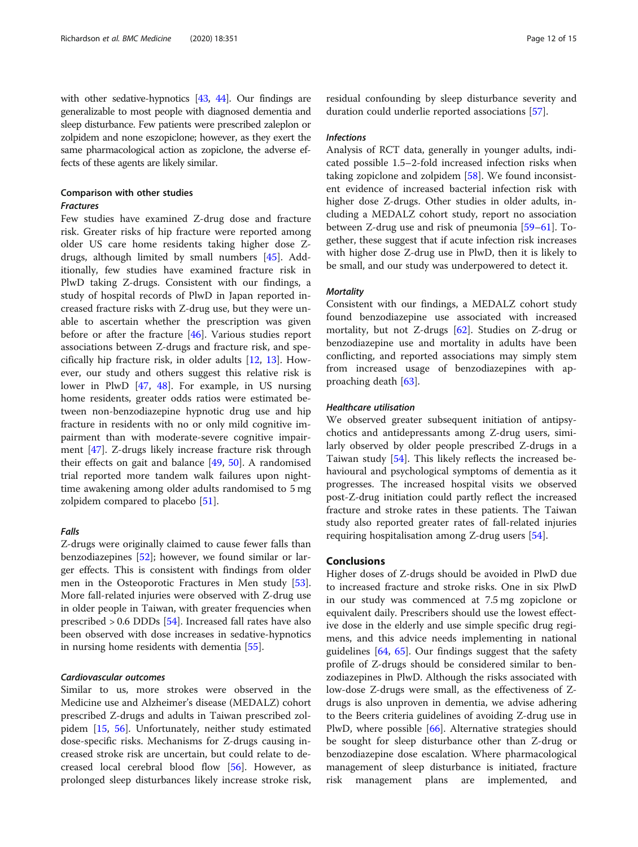with other sedative-hypnotics [\[43](#page-13-0), [44\]](#page-13-0). Our findings are generalizable to most people with diagnosed dementia and sleep disturbance. Few patients were prescribed zaleplon or zolpidem and none eszopiclone; however, as they exert the same pharmacological action as zopiclone, the adverse effects of these agents are likely similar.

#### Comparison with other studies Fractures

Few studies have examined Z-drug dose and fracture risk. Greater risks of hip fracture were reported among older US care home residents taking higher dose Zdrugs, although limited by small numbers [[45\]](#page-13-0). Additionally, few studies have examined fracture risk in PlwD taking Z-drugs. Consistent with our findings, a study of hospital records of PlwD in Japan reported increased fracture risks with Z-drug use, but they were unable to ascertain whether the prescription was given before or after the fracture [[46\]](#page-13-0). Various studies report associations between Z-drugs and fracture risk, and specifically hip fracture risk, in older adults [[12,](#page-13-0) [13](#page-13-0)]. However, our study and others suggest this relative risk is lower in PlwD [\[47,](#page-13-0) [48](#page-13-0)]. For example, in US nursing home residents, greater odds ratios were estimated between non-benzodiazepine hypnotic drug use and hip fracture in residents with no or only mild cognitive impairment than with moderate-severe cognitive impairment [\[47\]](#page-13-0). Z-drugs likely increase fracture risk through their effects on gait and balance [[49](#page-13-0), [50](#page-13-0)]. A randomised trial reported more tandem walk failures upon nighttime awakening among older adults randomised to 5 mg zolpidem compared to placebo [\[51](#page-13-0)].

#### Falls

Z-drugs were originally claimed to cause fewer falls than benzodiazepines [\[52](#page-13-0)]; however, we found similar or larger effects. This is consistent with findings from older men in the Osteoporotic Fractures in Men study [\[53](#page-13-0)]. More fall-related injuries were observed with Z-drug use in older people in Taiwan, with greater frequencies when prescribed > 0.6 DDDs [[54](#page-14-0)]. Increased fall rates have also been observed with dose increases in sedative-hypnotics in nursing home residents with dementia [\[55](#page-14-0)].

#### Cardiovascular outcomes

Similar to us, more strokes were observed in the Medicine use and Alzheimer's disease (MEDALZ) cohort prescribed Z-drugs and adults in Taiwan prescribed zolpidem [\[15](#page-13-0), [56\]](#page-14-0). Unfortunately, neither study estimated dose-specific risks. Mechanisms for Z-drugs causing increased stroke risk are uncertain, but could relate to decreased local cerebral blood flow [\[56](#page-14-0)]. However, as prolonged sleep disturbances likely increase stroke risk,

residual confounding by sleep disturbance severity and duration could underlie reported associations [[57\]](#page-14-0).

#### Infections

Analysis of RCT data, generally in younger adults, indicated possible 1.5–2-fold increased infection risks when taking zopiclone and zolpidem [[58](#page-14-0)]. We found inconsistent evidence of increased bacterial infection risk with higher dose Z-drugs. Other studies in older adults, including a MEDALZ cohort study, report no association between Z-drug use and risk of pneumonia [\[59](#page-14-0)–[61\]](#page-14-0). Together, these suggest that if acute infection risk increases with higher dose Z-drug use in PlwD, then it is likely to be small, and our study was underpowered to detect it.

#### **Mortality**

Consistent with our findings, a MEDALZ cohort study found benzodiazepine use associated with increased mortality, but not Z-drugs [[62](#page-14-0)]. Studies on Z-drug or benzodiazepine use and mortality in adults have been conflicting, and reported associations may simply stem from increased usage of benzodiazepines with approaching death [\[63\]](#page-14-0).

#### Healthcare utilisation

We observed greater subsequent initiation of antipsychotics and antidepressants among Z-drug users, similarly observed by older people prescribed Z-drugs in a Taiwan study [[54](#page-14-0)]. This likely reflects the increased behavioural and psychological symptoms of dementia as it progresses. The increased hospital visits we observed post-Z-drug initiation could partly reflect the increased fracture and stroke rates in these patients. The Taiwan study also reported greater rates of fall-related injuries requiring hospitalisation among Z-drug users [[54](#page-14-0)].

#### Conclusions

Higher doses of Z-drugs should be avoided in PlwD due to increased fracture and stroke risks. One in six PlwD in our study was commenced at 7.5 mg zopiclone or equivalent daily. Prescribers should use the lowest effective dose in the elderly and use simple specific drug regimens, and this advice needs implementing in national guidelines  $[64, 65]$  $[64, 65]$  $[64, 65]$  $[64, 65]$  $[64, 65]$ . Our findings suggest that the safety profile of Z-drugs should be considered similar to benzodiazepines in PlwD. Although the risks associated with low-dose Z-drugs were small, as the effectiveness of Zdrugs is also unproven in dementia, we advise adhering to the Beers criteria guidelines of avoiding Z-drug use in PlwD, where possible [\[66\]](#page-14-0). Alternative strategies should be sought for sleep disturbance other than Z-drug or benzodiazepine dose escalation. Where pharmacological management of sleep disturbance is initiated, fracture risk management plans are implemented, and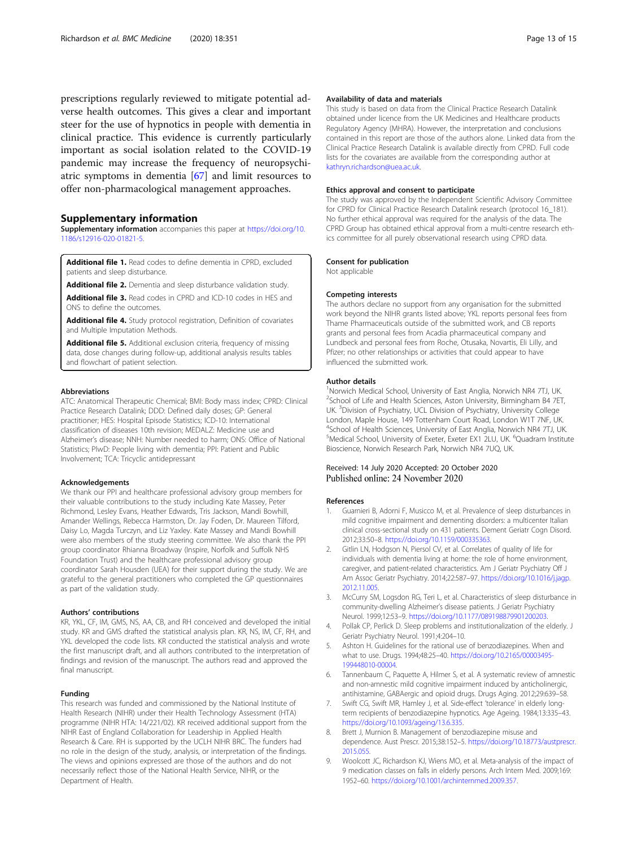<span id="page-12-0"></span>prescriptions regularly reviewed to mitigate potential adverse health outcomes. This gives a clear and important steer for the use of hypnotics in people with dementia in clinical practice. This evidence is currently particularly important as social isolation related to the COVID-19 pandemic may increase the frequency of neuropsychiatric symptoms in dementia [\[67\]](#page-14-0) and limit resources to offer non-pharmacological management approaches.

#### Supplementary information

Supplementary information accompanies this paper at [https://doi.org/10.](https://doi.org/10.1186/s12916-020-01821-5) [1186/s12916-020-01821-5](https://doi.org/10.1186/s12916-020-01821-5).

Additional file 1. Read codes to define dementia in CPRD, excluded patients and sleep disturbance.

Additional file 2. Dementia and sleep disturbance validation study.

Additional file 3. Read codes in CPRD and ICD-10 codes in HES and ONS to define the outcomes.

Additional file 4. Study protocol registration, Definition of covariates and Multiple Imputation Methods.

Additional file 5. Additional exclusion criteria, frequency of missing data, dose changes during follow-up, additional analysis results tables and flowchart of patient selection.

#### Abbreviations

ATC: Anatomical Therapeutic Chemical; BMI: Body mass index; CPRD: Clinical Practice Research Datalink; DDD: Defined daily doses; GP: General practitioner; HES: Hospital Episode Statistics; ICD-10: International classification of diseases 10th revision; MEDALZ: Medicine use and Alzheimer's disease; NNH: Number needed to harm; ONS: Office of National Statistics; PlwD: People living with dementia; PPI: Patient and Public Involvement; TCA: Tricyclic antidepressant

#### Acknowledgements

We thank our PPI and healthcare professional advisory group members for their valuable contributions to the study including Kate Massey, Peter Richmond, Lesley Evans, Heather Edwards, Tris Jackson, Mandi Bowhill, Amander Wellings, Rebecca Harmston, Dr. Jay Foden, Dr. Maureen Tilford, Daisy Lo, Magda Turczyn, and Liz Yaxley. Kate Massey and Mandi Bowhill were also members of the study steering committee. We also thank the PPI group coordinator Rhianna Broadway (Inspire, Norfolk and Suffolk NHS Foundation Trust) and the healthcare professional advisory group coordinator Sarah Housden (UEA) for their support during the study. We are grateful to the general practitioners who completed the GP questionnaires as part of the validation study.

#### Authors' contributions

KR, YKL, CF, IM, GMS, NS, AA, CB, and RH conceived and developed the initial study. KR and GMS drafted the statistical analysis plan. KR, NS, IM, CF, RH, and YKL developed the code lists. KR conducted the statistical analysis and wrote the first manuscript draft, and all authors contributed to the interpretation of findings and revision of the manuscript. The authors read and approved the final manuscript.

#### Funding

This research was funded and commissioned by the National Institute of Health Research (NIHR) under their Health Technology Assessment (HTA) programme (NIHR HTA: 14/221/02). KR received additional support from the NIHR East of England Collaboration for Leadership in Applied Health Research & Care. RH is supported by the UCLH NIHR BRC. The funders had no role in the design of the study, analysis, or interpretation of the findings. The views and opinions expressed are those of the authors and do not necessarily reflect those of the National Health Service, NIHR, or the Department of Health.

#### Availability of data and materials

This study is based on data from the Clinical Practice Research Datalink obtained under licence from the UK Medicines and Healthcare products Regulatory Agency (MHRA). However, the interpretation and conclusions contained in this report are those of the authors alone. Linked data from the Clinical Practice Research Datalink is available directly from CPRD. Full code lists for the covariates are available from the corresponding author at [kathryn.richardson@uea.ac.uk.](mailto:kathryn.richardson@uea.ac.uk)

#### Ethics approval and consent to participate

The study was approved by the Independent Scientific Advisory Committee for CPRD for Clinical Practice Research Datalink research (protocol 16\_181). No further ethical approval was required for the analysis of the data. The CPRD Group has obtained ethical approval from a multi-centre research ethics committee for all purely observational research using CPRD data.

#### Consent for publication

Not applicable

#### Competing interests

The authors declare no support from any organisation for the submitted work beyond the NIHR grants listed above; YKL reports personal fees from Thame Pharmaceuticals outside of the submitted work, and CB reports grants and personal fees from Acadia pharmaceutical company and Lundbeck and personal fees from Roche, Otusaka, Novartis, Eli Lilly, and Pfizer; no other relationships or activities that could appear to have influenced the submitted work.

#### Author details

<sup>1</sup>Norwich Medical School, University of East Anglia, Norwich NR4 7TJ, UK <sup>2</sup>School of Life and Health Sciences, Aston University, Birmingham B4 7ET, UK. <sup>3</sup> Division of Psychiatry, UCL Division of Psychiatry, University College London, Maple House, 149 Tottenham Court Road, London W1T 7NF, UK. 4 School of Health Sciences, University of East Anglia, Norwich NR4 7TJ, UK. <sup>5</sup>Medical School, University of Exeter, Exeter EX1 2LU, UK. <sup>6</sup>Quadram Institute Bioscience, Norwich Research Park, Norwich NR4 7UQ, UK.

# Received: 14 July 2020 Accepted: 20 October 2020

#### References

- 1. Guarnieri B, Adorni F, Musicco M, et al. Prevalence of sleep disturbances in mild cognitive impairment and dementing disorders: a multicenter Italian clinical cross-sectional study on 431 patients. Dement Geriatr Cogn Disord. 2012;33:50–8. [https://doi.org/10.1159/000335363.](https://doi.org/10.1159/000335363)
- 2. Gitlin LN, Hodgson N, Piersol CV, et al. Correlates of quality of life for individuals with dementia living at home: the role of home environment, caregiver, and patient-related characteristics. Am J Geriatr Psychiatry Off J Am Assoc Geriatr Psychiatry. 2014;22:587–97. [https://doi.org/10.1016/j.jagp.](https://doi.org/10.1016/j.jagp.2012.11.005) [2012.11.005.](https://doi.org/10.1016/j.jagp.2012.11.005)
- 3. McCurry SM, Logsdon RG, Teri L, et al. Characteristics of sleep disturbance in community-dwelling Alzheimer's disease patients. J Geriatr Psychiatry Neurol. 1999;12:53–9. [https://doi.org/10.1177/089198879901200203.](https://doi.org/10.1177/089198879901200203)
- 4. Pollak CP, Perlick D. Sleep problems and institutionalization of the elderly. J Geriatr Psychiatry Neurol. 1991;4:204–10.
- 5. Ashton H. Guidelines for the rational use of benzodiazepines. When and what to use. Drugs. 1994;48:25–40. [https://doi.org/10.2165/00003495-](https://doi.org/10.2165/00003495-199448010-00004) [199448010-00004.](https://doi.org/10.2165/00003495-199448010-00004)
- 6. Tannenbaum C, Paquette A, Hilmer S, et al. A systematic review of amnestic and non-amnestic mild cognitive impairment induced by anticholinergic, antihistamine, GABAergic and opioid drugs. Drugs Aging. 2012;29:639–58.
- 7. Swift CG, Swift MR, Hamley J, et al. Side-effect 'tolerance' in elderly longterm recipients of benzodiazepine hypnotics. Age Ageing. 1984;13:335–43. [https://doi.org/10.1093/ageing/13.6.335.](https://doi.org/10.1093/ageing/13.6.335)
- 8. Brett J, Murnion B. Management of benzodiazepine misuse and dependence. Aust Prescr. 2015;38:152–5. [https://doi.org/10.18773/austprescr.](https://doi.org/10.18773/austprescr.2015.055) [2015.055.](https://doi.org/10.18773/austprescr.2015.055)
- 9. Woolcott JC, Richardson KJ, Wiens MO, et al. Meta-analysis of the impact of 9 medication classes on falls in elderly persons. Arch Intern Med. 2009;169: 1952–60. <https://doi.org/10.1001/archinternmed.2009.357>.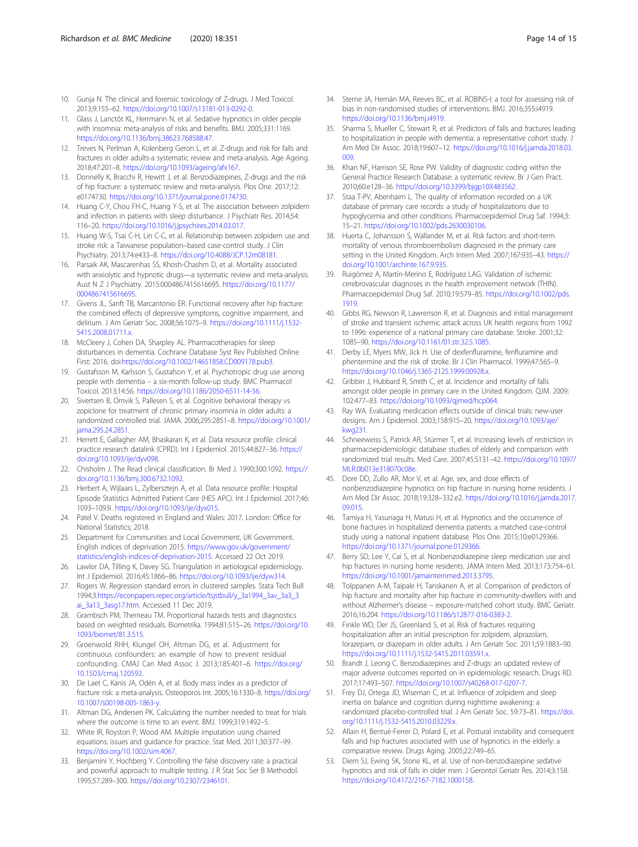- <span id="page-13-0"></span>10. Gunja N. The clinical and forensic toxicology of Z-drugs. J Med Toxicol. 2013;9:155–62. [https://doi.org/10.1007/s13181-013-0292-0.](https://doi.org/10.1007/s13181-013-0292-0)
- 11. Glass J, Lanctôt KL, Herrmann N, et al. Sedative hypnotics in older people with insomnia: meta-analysis of risks and benefits. BMJ. 2005;331:1169. [https://doi.org/10.1136/bmj.38623.768588.47.](https://doi.org/10.1136/bmj.38623.768588.47)
- 12. Treves N, Perlman A, Kolenberg Geron L, et al. Z-drugs and risk for falls and fractures in older adults-a systematic review and meta-analysis. Age Ageing. 2018;47:201–8. [https://doi.org/10.1093/ageing/afx167.](https://doi.org/10.1093/ageing/afx167)
- 13. Donnelly K, Bracchi R, Hewitt J, et al. Benzodiazepines, Z-drugs and the risk of hip fracture: a systematic review and meta-analysis. Plos One. 2017;12: e0174730. <https://doi.org/10.1371/journal.pone.0174730>.
- 14. Huang C-Y, Chou FH-C, Huang Y-S, et al. The association between zolpidem and infection in patients with sleep disturbance. J Psychiatr Res. 2014;54: 116–20. <https://doi.org/10.1016/j.jpsychires.2014.03.017>.
- 15. Huang W-S, Tsai C-H, Lin C-C, et al. Relationship between zolpidem use and stroke risk: a Taiwanese population–based case-control study. J Clin Psychiatry. 2013;74:e433–8. <https://doi.org/10.4088/JCP.12m08181>.
- 16. Parsaik AK, Mascarenhas SS, Khosh-Chashm D, et al. Mortality associated with anxiolytic and hypnotic drugs—a systematic review and meta-analysis. Aust N Z J Psychiatry. 2015:0004867415616695. [https://doi.org/10.1177/](https://doi.org/10.1177/0004867415616695) [0004867415616695](https://doi.org/10.1177/0004867415616695).
- 17. Givens JL, Sanft TB, Marcantonio ER. Functional recovery after hip fracture: the combined effects of depressive symptoms, cognitive impairment, and delirium. J Am Geriatr Soc. 2008;56:1075–9. [https://doi.org/10.1111/j.1532-](https://doi.org/10.1111/j.1532-5415.2008.01711.x) [5415.2008.01711.x.](https://doi.org/10.1111/j.1532-5415.2008.01711.x)
- 18. McCleery J, Cohen DA, Sharpley AL. Pharmacotherapies for sleep disturbances in dementia. Cochrane Database Syst Rev Published Online First: 2016. doi:[https://doi.org/10.1002/14651858.CD009178.pub3.](https://doi.org/10.1002/14651858.CD009178.pub3)
- 19. Gustafsson M, Karlsson S, Gustafson Y, et al. Psychotropic drug use among people with dementia – a six-month follow-up study. BMC Pharmacol Toxicol. 2013;14:56. <https://doi.org/10.1186/2050-6511-14-56>.
- 20. Sivertsen B, Omvik S, Pallesen S, et al. Cognitive behavioral therapy vs zopiclone for treatment of chronic primary insomnia in older adults: a randomized controlled trial. JAMA. 2006;295:2851–8. [https://doi.org/10.1001/](https://doi.org/10.1001/jama.295.24.2851) [jama.295.24.2851.](https://doi.org/10.1001/jama.295.24.2851)
- 21. Herrett E, Gallagher AM, Bhaskaran K, et al. Data resource profile: clinical practice research datalink (CPRD). Int J Epidemiol. 2015;44:827–36. [https://](https://doi.org/10.1093/ije/dyv098) [doi.org/10.1093/ije/dyv098.](https://doi.org/10.1093/ije/dyv098)
- 22. Chisholm J. The Read clinical classification. Br Med J. 1990;300:1092. [https://](https://doi.org/10.1136/bmj.300.6732.1092) [doi.org/10.1136/bmj.300.6732.1092.](https://doi.org/10.1136/bmj.300.6732.1092)
- 23. Herbert A, Wijlaars L, Zylbersztejn A, et al. Data resource profile: Hospital Episode Statistics Admitted Patient Care (HES APC). Int J Epidemiol. 2017;46: 1093–1093i. [https://doi.org/10.1093/ije/dyx015.](https://doi.org/10.1093/ije/dyx015)
- 24. Patel V. Deaths registered in England and Wales: 2017. London: Office for National Statistics; 2018.
- 25. Department for Communities and Local Government, UK Government. English indices of deprivation 2015. [https://www.gov.uk/government/](https://www.gov.uk/government/statistics/english-indices-of-deprivation-2015) [statistics/english-indices-of-deprivation-2015.](https://www.gov.uk/government/statistics/english-indices-of-deprivation-2015) Accessed 22 Oct 2019.
- 26. Lawlor DA, Tilling K, Davey SG. Triangulation in aetiological epidemiology. Int J Epidemiol. 2016;45:1866–86. <https://doi.org/10.1093/ije/dyw314>.
- 27. Rogers W. Regression standard errors in clustered samples. Stata Tech Bull 1994;3[.https://econpapers.repec.org/article/tsjstbull/y\\_3a1994\\_3av\\_3a3\\_3](https://econpapers.repec.org/article/tsjstbull/y_3a1994_3av_3a3_3ai_3a13_3asg17.htm) [ai\\_3a13\\_3asg17.htm.](https://econpapers.repec.org/article/tsjstbull/y_3a1994_3av_3a3_3ai_3a13_3asg17.htm) Accessed 11 Dec 2019.
- 28. Grambsch PM, Therneau TM. Proportional hazards tests and diagnostics based on weighted residuals. Biometrika. 1994;81:515–26. [https://doi.org/10.](https://doi.org/10.1093/biomet/81.3.515) [1093/biomet/81.3.515.](https://doi.org/10.1093/biomet/81.3.515)
- 29. Groenwold RHH, Klungel OH, Altman DG, et al. Adjustment for continuous confounders: an example of how to prevent residual confounding. CMAJ Can Med Assoc J. 2013;185:401–6. [https://doi.org/](https://doi.org/10.1503/cmaj.120592) [10.1503/cmaj.120592.](https://doi.org/10.1503/cmaj.120592)
- 30. De Laet C, Kanis JA, Odén A, et al. Body mass index as a predictor of fracture risk: a meta-analysis. Osteoporos Int. 2005;16:1330–8. [https://doi.org/](https://doi.org/10.1007/s00198-005-1863-y) [10.1007/s00198-005-1863-y.](https://doi.org/10.1007/s00198-005-1863-y)
- 31. Altman DG, Andersen PK. Calculating the number needed to treat for trials where the outcome is time to an event. BMJ. 1999;319:1492–5.
- 32. White IR, Royston P, Wood AM. Multiple imputation using chained equations: issues and guidance for practice. Stat Med. 2011;30:377–99. [https://doi.org/10.1002/sim.4067.](https://doi.org/10.1002/sim.4067)
- 33. Benjamini Y, Hochberg Y. Controlling the false discovery rate: a practical and powerful approach to multiple testing. J R Stat Soc Ser B Methodol. 1995;57:289–300. [https://doi.org/10.2307/2346101.](https://doi.org/10.2307/2346101)
- 34. Sterne JA, Hernán MA, Reeves BC, et al. ROBINS-I: a tool for assessing risk of bias in non-randomised studies of interventions. BMJ. 2016;355:i4919. <https://doi.org/10.1136/bmj.i4919>.
- 35. Sharma S, Mueller C, Stewart R, et al. Predictors of falls and fractures leading to hospitalization in people with dementia: a representative cohort study. J Am Med Dir Assoc. 2018;19:607–12. [https://doi.org/10.1016/j.jamda.2018.03.](https://doi.org/10.1016/j.jamda.2018.03.009) [009.](https://doi.org/10.1016/j.jamda.2018.03.009)
- 36. Khan NF, Harrison SE, Rose PW. Validity of diagnostic coding within the General Practice Research Database: a systematic review. Br J Gen Pract. 2010;60:e128–36. <https://doi.org/10.3399/bjgp10X483562>.
- 37. Staa T-PV, Abenhaim L. The quality of information recorded on a UK database of primary care records: a study of hospitalizations due to hypoglycemia and other conditions. Pharmacoepidemiol Drug Saf. 1994;3: 15–21. <https://doi.org/10.1002/pds.2630030106>.
- 38. Huerta C, Johansson S, Wallander M, et al. Risk factors and short-term mortality of venous thromboembolism diagnosed in the primary care setting in the United Kingdom. Arch Intern Med. 2007;167:935–43. [https://](https://doi.org/10.1001/archinte.167.9.935) [doi.org/10.1001/archinte.167.9.935.](https://doi.org/10.1001/archinte.167.9.935)
- 39. Ruigómez A, Martín-Merino E, Rodríguez LAG. Validation of ischemic cerebrovascular diagnoses in the health improvement network (THIN). Pharmacoepidemiol Drug Saf. 2010;19:579–85. [https://doi.org/10.1002/pds.](https://doi.org/10.1002/pds.1919) [1919](https://doi.org/10.1002/pds.1919).
- 40. Gibbs RG, Newson R, Lawrenson R, et al. Diagnosis and initial management of stroke and transient ischemic attack across UK health regions from 1992 to 1996: experience of a national primary care database. Stroke. 2001;32: 1085–90. [https://doi.org/10.1161/01.str.32.5.1085.](https://doi.org/10.1161/01.str.32.5.1085)
- 41. Derby LE, Myers MW, Jick H. Use of dexfenfluramine, fenfluramine and phentermine and the risk of stroke. Br J Clin Pharmacol. 1999;47:565–9. <https://doi.org/10.1046/j.1365-2125.1999.00928.x>.
- 42. Gribbin J, Hubbard R, Smith C, et al. Incidence and mortality of falls amongst older people in primary care in the United Kingdom. QJM. 2009; 102:477–83. <https://doi.org/10.1093/qjmed/hcp064>.
- 43. Ray WA. Evaluating medication effects outside of clinical trials: new-user designs. Am J Epidemiol. 2003;158:915–20. [https://doi.org/10.1093/aje/](https://doi.org/10.1093/aje/kwg231) [kwg231.](https://doi.org/10.1093/aje/kwg231)
- 44. Schneeweiss S, Patrick AR, Stürmer T, et al. Increasing levels of restriction in pharmacoepidemiologic database studies of elderly and comparison with randomized trial results. Med Care. 2007;45:S131–42. [https://doi.org/10.1097/](https://doi.org/10.1097/MLR.0b013e318070c08e) [MLR.0b013e318070c08e.](https://doi.org/10.1097/MLR.0b013e318070c08e)
- 45. Dore DD, Zullo AR, Mor V, et al. Age, sex, and dose effects of nonbenzodiazepine hypnotics on hip fracture in nursing home residents. J Am Med Dir Assoc. 2018;19:328–332.e2. [https://doi.org/10.1016/j.jamda.2017.](https://doi.org/10.1016/j.jamda.2017.09.015) [09.015](https://doi.org/10.1016/j.jamda.2017.09.015).
- 46. Tamiya H, Yasunaga H, Matusi H, et al. Hypnotics and the occurrence of bone fractures in hospitalized dementia patients: a matched case-control study using a national inpatient database. Plos One. 2015;10:e0129366. [https://doi.org/10.1371/journal.pone.0129366.](https://doi.org/10.1371/journal.pone.0129366)
- 47. Berry SD, Lee Y, Cai S, et al. Nonbenzodiazepine sleep medication use and hip fractures in nursing home residents. JAMA Intern Med. 2013;173:754–61. <https://doi.org/10.1001/jamainternmed.2013.3795>.
- 48. Tolppanen A-M, Taipale H, Tanskanen A, et al. Comparison of predictors of hip fracture and mortality after hip fracture in community-dwellers with and without Alzheimer's disease – exposure-matched cohort study. BMC Geriatr. 2016;16:204. [https://doi.org/10.1186/s12877-016-0383-2.](https://doi.org/10.1186/s12877-016-0383-2)
- 49. Finkle WD, Der JS, Greenland S, et al. Risk of fractures requiring hospitalization after an initial prescription for zolpidem, alprazolam, lorazepam, or diazepam in older adults. J Am Geriatr Soc. 2011;59:1883–90. <https://doi.org/10.1111/j.1532-5415.2011.03591.x>.
- 50. Brandt J, Leong C. Benzodiazepines and Z-drugs: an updated review of major adverse outcomes reported on in epidemiologic research. Drugs RD. 2017;17:493–507. <https://doi.org/10.1007/s40268-017-0207-7>.
- 51. Frey DJ, Ortega JD, Wiseman C, et al. Influence of zolpidem and sleep inertia on balance and cognition during nighttime awakening: a randomized placebo-controlled trial. J Am Geriatr Soc. 59:73–81. [https://doi.](https://doi.org/10.1111/j.1532-5415.2010.03229.x) [org/10.1111/j.1532-5415.2010.03229.x](https://doi.org/10.1111/j.1532-5415.2010.03229.x).
- 52. Allain H, Bentué-Ferrer D, Polard E, et al. Postural instability and consequent falls and hip fractures associated with use of hypnotics in the elderly: a comparative review. Drugs Aging. 2005;22:749–65.
- 53. Diem SJ, Ewing SK, Stone KL, et al. Use of non-benzodiazepine sedative hypnotics and risk of falls in older men. J Gerontol Geriatr Res. 2014;3:158. <https://doi.org/10.4172/2167-7182.1000158>.